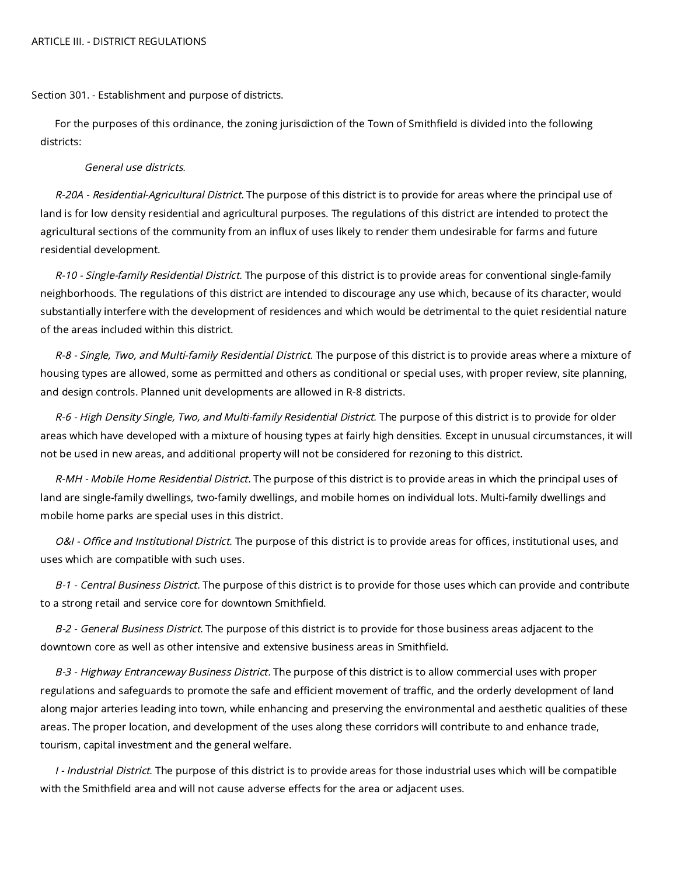#### ARTICLE III. - DISTRICT REGULATIONS

Section 301. - Establishment and purpose of districts.

For the purposes of this ordinance, the zoning jurisdiction of the Town of Smithfield is divided into the following districts:

### General use districts.

R-20A - Residential-Agricultural District. The purpose of this district is to provide for areas where the principal use of land is for low density residential and agricultural purposes. The regulations of this district are intended to protect the agricultural sections of the community from an influx of uses likely to render them undesirable for farms and future residential development.

R-10 - Single-family Residential District. The purpose of this district is to provide areas for conventional single-family neighborhoods. The regulations of this district are intended to discourage any use which, because of its character, would substantially interfere with the development of residences and which would be detrimental to the quiet residential nature of the areas included within this district.

R-8 - Single, Two, and Multi-family Residential District. The purpose of this district is to provide areas where a mixture of housing types are allowed, some as permitted and others as conditional or special uses, with proper review, site planning, and design controls. Planned unit developments are allowed in R-8 districts.

R-6 - High Density Single, Two, and Multi-family Residential District. The purpose of this district is to provide for older areas which have developed with a mixture of housing types at fairly high densities. Except in unusual circumstances, it will not be used in new areas, and additional property will not be considered for rezoning to this district.

R-MH - Mobile Home Residential District. The purpose of this district is to provide areas in which the principal uses of land are single-family dwellings, two-family dwellings, and mobile homes on individual lots. Multi-family dwellings and mobile home parks are special uses in this district.

O&I - Office and Institutional District. The purpose of this district is to provide areas for offices, institutional uses, and uses which are compatible with such uses.

B-1 - Central Business District. The purpose of this district is to provide for those uses which can provide and contribute to a strong retail and service core for downtown Smithfield.

B-2 - General Business District. The purpose of this district is to provide for those business areas adjacent to the downtown core as well as other intensive and extensive business areas in Smithfield.

B-3 - Highway Entranceway Business District. The purpose of this district is to allow commercial uses with proper regulations and safeguards to promote the safe and efficient movement of traffic, and the orderly development of land along major arteries leading into town, while enhancing and preserving the environmental and aesthetic qualities of these areas. The proper location, and development of the uses along these corridors will contribute to and enhance trade, tourism, capital investment and the general welfare.

I - Industrial District. The purpose of this district is to provide areas for those industrial uses which will be compatible with the Smithfield area and will not cause adverse effects for the area or adjacent uses.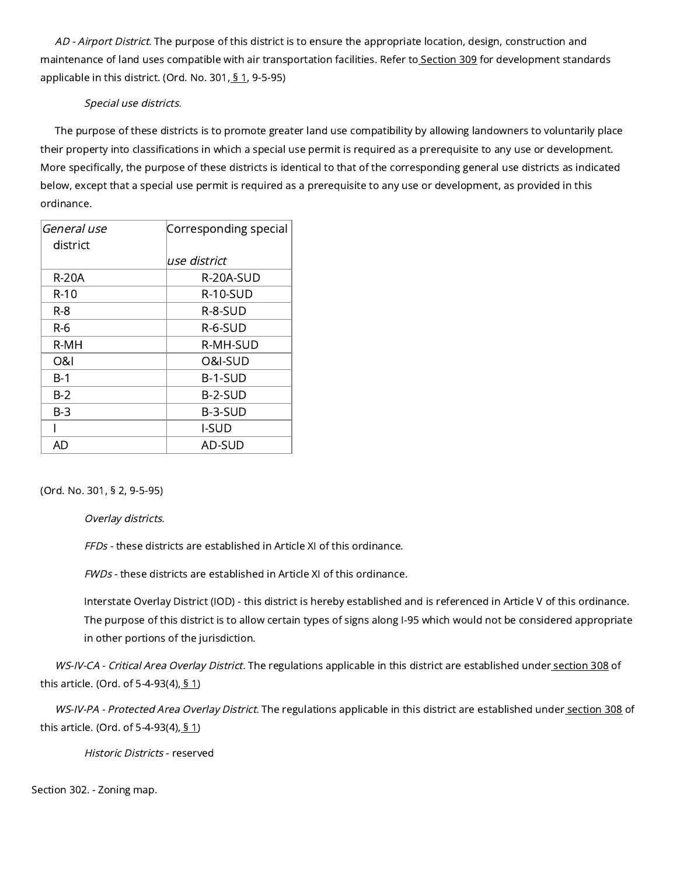AD - Airport District. The purpose of this district is to ensure the appropriate location, design, construction and maintenance of land uses compatible with air transportation facilities. Refer to [Section](https://library.municode.com/) 309 for development standards applicable in this district. (Ord. No. 301, § [1,](https://library.municode.com/) 9-5-95)

# Special use districts.

The purpose of these districts is to promote greater land use compatibility by allowing landowners to voluntarily place their property into classifications in which a special use permit is required as a prerequisite to any use or development. More specifically, the purpose of these districts is identical to that of the corresponding general use districts as indicated below, except that a special use permit is required as a prerequisite to any use or development, as provided in this ordinance.

| General use | Corresponding special |
|-------------|-----------------------|
| district    |                       |
|             | use district          |
| R-20A       | R-20A-SUD             |
| R-10        | R-10-SUD              |
| R-8         | R-8-SUD               |
| R-6         | $R-6-SUD$             |
| R-MH        | R-MH-SUD              |
| O&I         | O&I-SUD               |
| B-1         | B-1-SUD               |
| B-2         | B-2-SUD               |
| B-3         | B-3-SUD               |
|             | <b>I-SUD</b>          |
| AD          | AD-SUD                |

(Ord. No. 301, § 2, 9-5-95)

Overlay districts.

FFDs - these districts are established in Article XI of this ordinance.

FWDs - these districts are established in Article XI of this ordinance.

Interstate Overlay District (IOD) - this district is hereby established and is referenced in Article V of this ordinance. The purpose of this district is to allow certain types of signs along I-95 which would not be considered appropriate in other portions of the jurisdiction.

WS-IV-CA - Critical Area Overlay District. The regulations applicable in this district are established under [section](https://library.municode.com/) 308 of this article. (Ord. of 5-4-93(4),  $\S$  [1](https://library.municode.com/))

WS-IV-PA - Protected Area Overlay District. The regulations applicable in this district are established under [section](https://library.municode.com/) 308 of this article. (Ord. of 5-4-93(4),  $\S$  [1](https://library.municode.com/))

Historic Districts - reserved

Section 302. - Zoning map.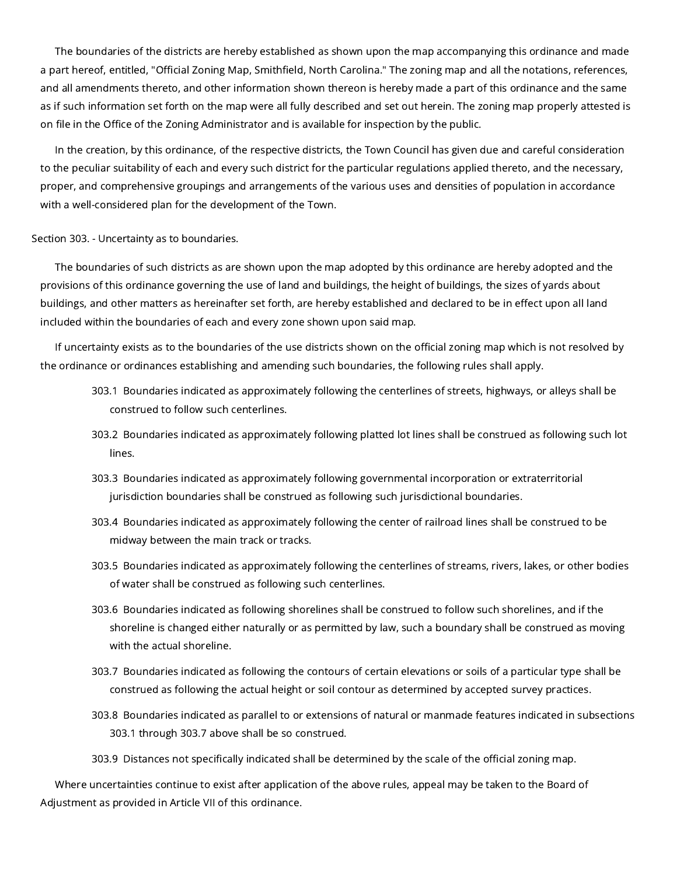The boundaries of the districts are hereby established as shown upon the map accompanying this ordinance and made a part hereof, entitled, "Official Zoning Map, Smithfield, North Carolina." The zoning map and all the notations, references, and all amendments thereto, and other information shown thereon is hereby made a part of this ordinance and the same as if such information set forth on the map were all fully described and set out herein. The zoning map properly attested is on file in the Office of the Zoning Administrator and is available for inspection by the public.

In the creation, by this ordinance, of the respective districts, the Town Council has given due and careful consideration to the peculiar suitability of each and every such district for the particular regulations applied thereto, and the necessary, proper, and comprehensive groupings and arrangements of the various uses and densities of population in accordance with a well-considered plan for the development of the Town.

#### Section 303. - Uncertainty as to boundaries.

The boundaries of such districts as are shown upon the map adopted by this ordinance are hereby adopted and the provisions of this ordinance governing the use of land and buildings, the height of buildings, the sizes of yards about buildings, and other matters as hereinafter set forth, are hereby established and declared to be in effect upon all land included within the boundaries of each and every zone shown upon said map.

If uncertainty exists as to the boundaries of the use districts shown on the official zoning map which is not resolved by the ordinance or ordinances establishing and amending such boundaries, the following rules shall apply.

- 303.1 Boundaries indicated as approximately following the centerlines of streets, highways, or alleys shall be construed to follow such centerlines.
- 303.2 Boundaries indicated as approximately following platted lot lines shall be construed as following such lot lines.
- 303.3 Boundaries indicated as approximately following governmental incorporation or extraterritorial jurisdiction boundaries shall be construed as following such jurisdictional boundaries.
- 303.4 Boundaries indicated as approximately following the center of railroad lines shall be construed to be midway between the main track or tracks.
- 303.5 Boundaries indicated as approximately following the centerlines of streams, rivers, lakes, or other bodies of water shall be construed as following such centerlines.
- 303.6 Boundaries indicated as following shorelines shall be construed to follow such shorelines, and if the shoreline is changed either naturally or as permitted by law, such a boundary shall be construed as moving with the actual shoreline.
- 303.7 Boundaries indicated as following the contours of certain elevations or soils of a particular type shall be construed as following the actual height or soil contour as determined by accepted survey practices.
- 303.8 Boundaries indicated as parallel to or extensions of natural or manmade features indicated in subsections 303.1 through 303.7 above shall be so construed.
- 303.9 Distances not specifically indicated shall be determined by the scale of the official zoning map.

Where uncertainties continue to exist after application of the above rules, appeal may be taken to the Board of Adjustment as provided in Article VII of this ordinance.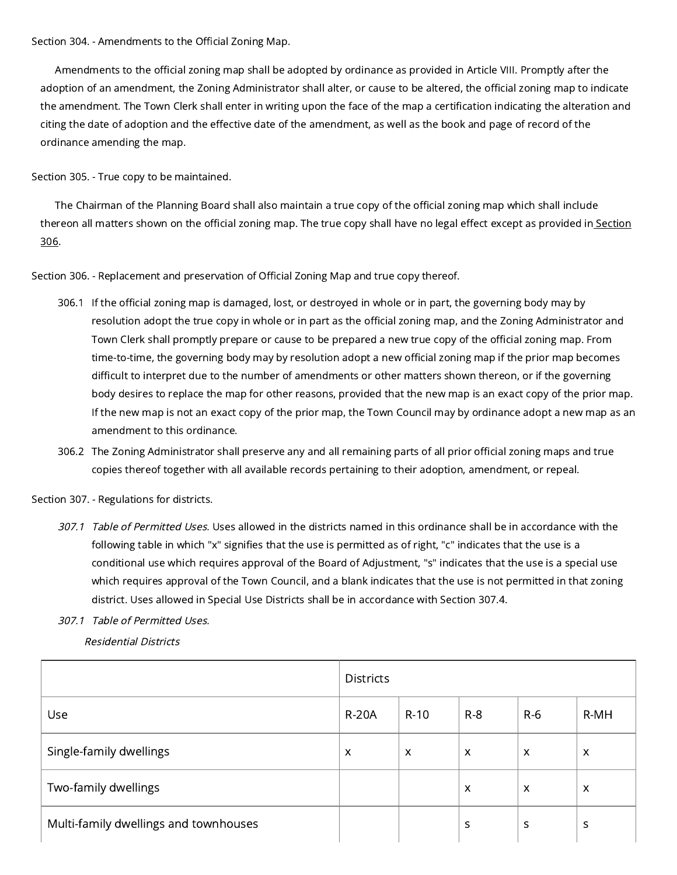Section 304. - Amendments to the Official Zoning Map.

Amendments to the official zoning map shall be adopted by ordinance as provided in Article VIII. Promptly after the adoption of an amendment, the Zoning Administrator shall alter, or cause to be altered, the official zoning map to indicate the amendment. The Town Clerk shall enter in writing upon the face of the map a certification indicating the alteration and citing the date of adoption and the effective date of the amendment, as well as the book and page of record of the ordinance amending the map.

Section 305. - True copy to be maintained.

The Chairman of the Planning Board shall also maintain a true copy of the official zoning map which shall include thereon all matters shown on the official zoning map. The true copy shall have no legal effect except as [provided](https://library.municode.com/) in Section 306.

Section 306. - Replacement and preservation of Official Zoning Map and true copy thereof.

- 306.1 If the official zoning map is damaged, lost, or destroyed in whole or in part, the governing body may by resolution adopt the true copy in whole or in part as the official zoning map, and the Zoning Administrator and Town Clerk shall promptly prepare or cause to be prepared a new true copy of the official zoning map. From time-to-time, the governing body may by resolution adopt a new official zoning map if the prior map becomes difficult to interpret due to the number of amendments or other matters shown thereon, or if the governing body desires to replace the map for other reasons, provided that the new map is an exact copy of the prior map. If the new map is not an exact copy of the prior map, the Town Council may by ordinance adopt a new map as an amendment to this ordinance.
- 306.2 The Zoning Administrator shall preserve any and all remaining parts of all prior official zoning maps and true copies thereof together with all available records pertaining to their adoption, amendment, or repeal.

Section 307. - Regulations for districts.

- 307.1 Table of Permitted Uses. Uses allowed in the districts named in this ordinance shall be in accordance with the following table in which "x" signifies that the use is permitted as of right, "c" indicates that the use is a conditional use which requires approval of the Board of Adjustment, "s" indicates that the use is a special use which requires approval of the Town Council, and a blank indicates that the use is not permitted in that zoning district. Uses allowed in Special Use Districts shall be in accordance with Section 307.4.
- 307.1 Table of Permitted Uses.

Residential Districts

|                                       | <b>Districts</b>          |                           |       |                           |                           |
|---------------------------------------|---------------------------|---------------------------|-------|---------------------------|---------------------------|
| <b>Use</b>                            | <b>R-20A</b>              | $R-10$                    | $R-8$ | $R-6$                     | R-MH                      |
| Single-family dwellings               | $\boldsymbol{\mathsf{x}}$ | $\boldsymbol{\mathsf{x}}$ | X     | $\boldsymbol{\mathsf{X}}$ | $\boldsymbol{\mathsf{x}}$ |
| Two-family dwellings                  |                           |                           | X     | $\boldsymbol{\mathsf{x}}$ | $\boldsymbol{\mathsf{x}}$ |
| Multi-family dwellings and townhouses |                           |                           | S     | S                         | S                         |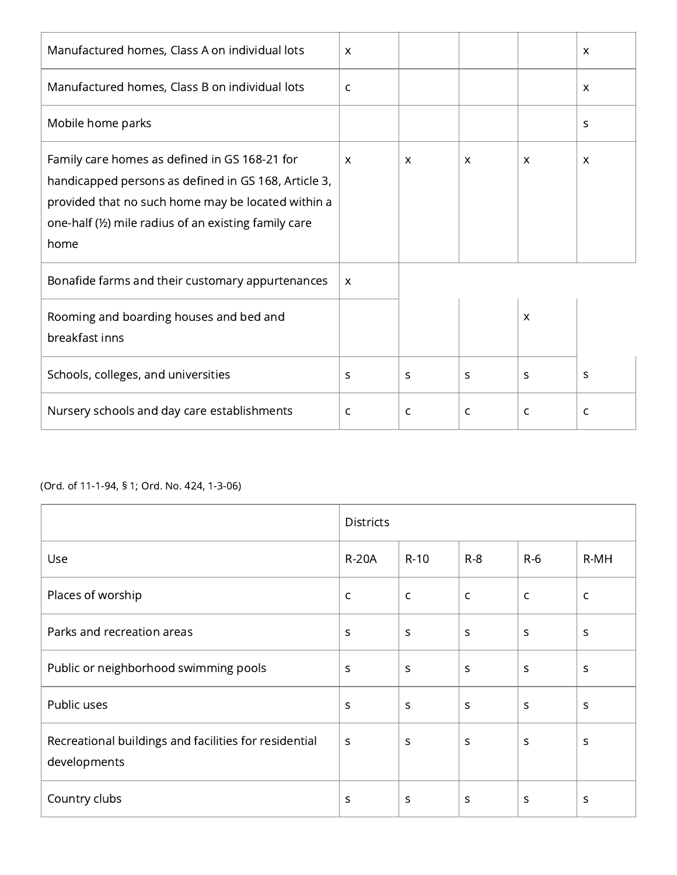| Manufactured homes, Class A on individual lots                                                                                                                                                                               | $\boldsymbol{\mathsf{X}}$ |              |                           |                           | $\boldsymbol{\mathsf{x}}$ |
|------------------------------------------------------------------------------------------------------------------------------------------------------------------------------------------------------------------------------|---------------------------|--------------|---------------------------|---------------------------|---------------------------|
| Manufactured homes, Class B on individual lots                                                                                                                                                                               | $\mathsf{C}$              |              |                           |                           | $\boldsymbol{\mathsf{X}}$ |
| Mobile home parks                                                                                                                                                                                                            |                           |              |                           |                           | S                         |
| Family care homes as defined in GS 168-21 for<br>handicapped persons as defined in GS 168, Article 3,<br>provided that no such home may be located within a<br>one-half (1/2) mile radius of an existing family care<br>home | $\boldsymbol{\mathsf{X}}$ | X            | $\boldsymbol{\mathsf{X}}$ | $\mathsf{x}$              | $\boldsymbol{\mathsf{x}}$ |
| Bonafide farms and their customary appurtenances                                                                                                                                                                             | $\boldsymbol{\mathsf{X}}$ |              |                           |                           |                           |
| Rooming and boarding houses and bed and<br>breakfast inns                                                                                                                                                                    |                           |              |                           | $\boldsymbol{\mathsf{x}}$ |                           |
| Schools, colleges, and universities                                                                                                                                                                                          | S                         | $\mathbf S$  | S                         | S                         | S                         |
| Nursery schools and day care establishments                                                                                                                                                                                  | C                         | $\mathsf{C}$ | $\mathsf{C}$              | $\mathsf{C}$              | $\mathsf{C}$              |

# (Ord. of 11-1-94, § 1; Ord. No. 424, 1-3-06)

|                                                                       | <b>Districts</b> |              |              |              |              |
|-----------------------------------------------------------------------|------------------|--------------|--------------|--------------|--------------|
| Use                                                                   | <b>R-20A</b>     | $R-10$       | $R-8$        | $R-6$        | R-MH         |
| Places of worship                                                     | $\mathsf{C}$     | $\mathsf{C}$ | $\mathsf C$  | $\mathsf C$  | $\mathsf{C}$ |
| Parks and recreation areas                                            | S                | $\mathsf{S}$ | $\sf S$      | $\mathsf{S}$ | S            |
| Public or neighborhood swimming pools                                 | S                | $\mathsf{s}$ | $\mathsf{s}$ | S            | S            |
| Public uses                                                           | $\sf S$          | S            | $\sf S$      | $\mathsf{S}$ | S            |
| Recreational buildings and facilities for residential<br>developments | S                | S            | S            | <sub>S</sub> | S            |
| Country clubs                                                         | S                | $\mathsf{S}$ | $\mathsf{s}$ | $\mathsf{s}$ | S            |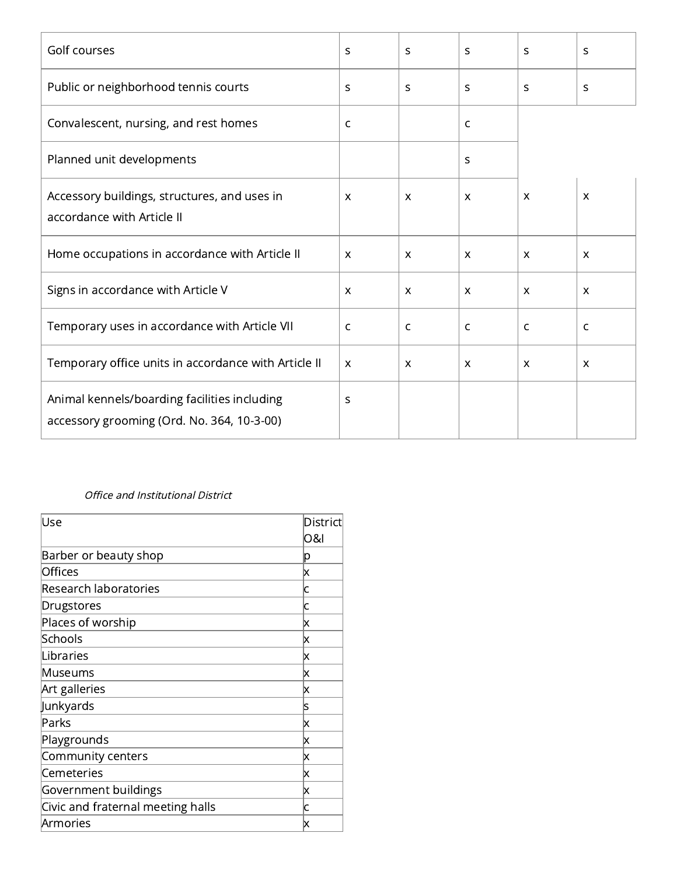| Golf courses                                                                               | S                         | S                         | S                         | S                         | S                         |
|--------------------------------------------------------------------------------------------|---------------------------|---------------------------|---------------------------|---------------------------|---------------------------|
| Public or neighborhood tennis courts                                                       | S                         | S                         | S                         | S                         | S                         |
| Convalescent, nursing, and rest homes                                                      | $\mathsf{C}$              |                           | C                         |                           |                           |
| Planned unit developments                                                                  |                           |                           | S                         |                           |                           |
| Accessory buildings, structures, and uses in<br>accordance with Article II                 | $\boldsymbol{\mathsf{x}}$ | $\boldsymbol{\mathsf{x}}$ | $\boldsymbol{\mathsf{x}}$ | $\boldsymbol{\mathsf{X}}$ | $\boldsymbol{\mathsf{X}}$ |
| Home occupations in accordance with Article II                                             | $\boldsymbol{\mathsf{X}}$ | $\mathsf{x}$              | $\boldsymbol{\mathsf{X}}$ | $\mathsf{x}$              | $\boldsymbol{\mathsf{X}}$ |
| Signs in accordance with Article V                                                         | $\boldsymbol{\mathsf{X}}$ | $\boldsymbol{\mathsf{X}}$ | $\mathsf{x}$              | $\boldsymbol{\mathsf{x}}$ | $\boldsymbol{\mathsf{X}}$ |
| Temporary uses in accordance with Article VII                                              | $\mathsf{C}$              | C                         | C                         | C                         | $\mathsf{C}$              |
| Temporary office units in accordance with Article II                                       | $\mathsf{x}$              | $\mathsf{x}$              | $\boldsymbol{\mathsf{X}}$ | $\mathsf{x}$              | $\boldsymbol{\mathsf{x}}$ |
| Animal kennels/boarding facilities including<br>accessory grooming (Ord. No. 364, 10-3-00) | S                         |                           |                           |                           |                           |

# Office and Institutional District

| Use                               | District<br>ଠ&ା |
|-----------------------------------|-----------------|
| Barber or beauty shop             | р               |
| Offices                           | x               |
| Research laboratories             | C               |
| Drugstores                        | C               |
| Places of worship                 | Χ               |
| Schools                           | x               |
| Libraries                         | Χ               |
| Museums                           | x               |
| Art galleries                     | Χ               |
| Junkyards                         | S               |
| Parks                             | x               |
| Playgrounds                       | x               |
| Community centers                 | X               |
| Cemeteries                        | x               |
| Government buildings              | x               |
| Civic and fraternal meeting halls | C               |
| Armories                          | x               |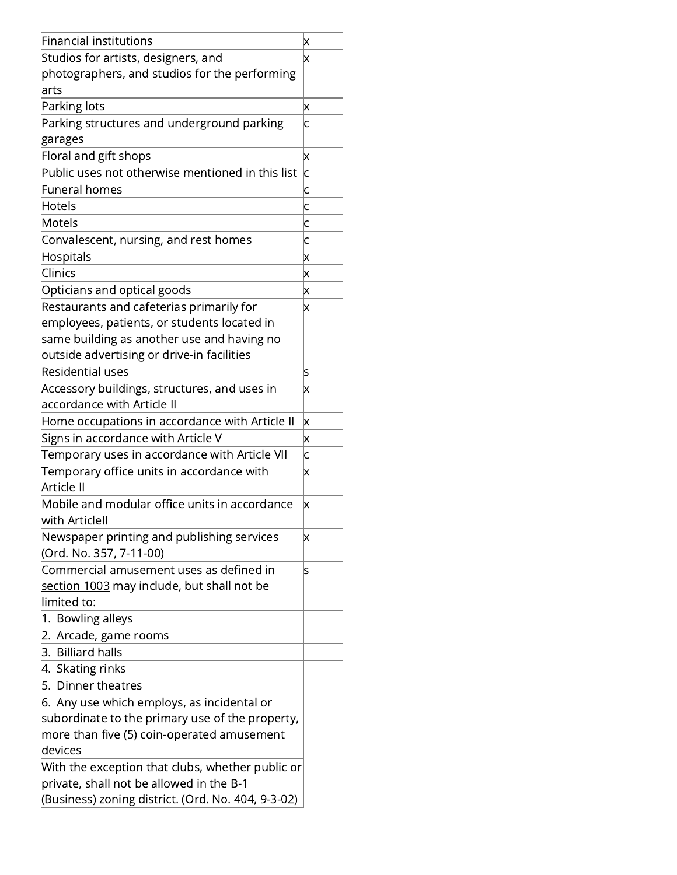| Financial institutions                                                     | х                         |
|----------------------------------------------------------------------------|---------------------------|
| Studios for artists, designers, and                                        | x                         |
| photographers, and studios for the performing                              |                           |
| arts                                                                       |                           |
| Parking lots                                                               | Χ                         |
| Parking structures and underground parking                                 | c                         |
| garages                                                                    |                           |
| Floral and gift shops                                                      | X                         |
| Public uses not otherwise mentioned in this list                           | Ċ                         |
| <b>Funeral homes</b>                                                       | c                         |
| Hotels                                                                     | c                         |
| Motels                                                                     | c                         |
| Convalescent, nursing, and rest homes                                      | c                         |
| Hospitals                                                                  | X                         |
| Clinics                                                                    | Χ                         |
| Opticians and optical goods                                                | $\boldsymbol{\mathsf{x}}$ |
| Restaurants and cafeterias primarily for                                   | $\boldsymbol{\mathsf{x}}$ |
| employees, patients, or students located in                                |                           |
| same building as another use and having no                                 |                           |
| outside advertising or drive-in facilities                                 |                           |
| Residential uses                                                           |                           |
|                                                                            | s                         |
| Accessory buildings, structures, and uses in<br>accordance with Article II | x                         |
|                                                                            |                           |
| Home occupations in accordance with Article II                             | X                         |
| Signs in accordance with Article V                                         | X                         |
| Temporary uses in accordance with Article VII                              | c                         |
| Temporary office units in accordance with<br>Article II                    | x                         |
| Mobile and modular office units in accordance                              | X                         |
| with ArticleII                                                             |                           |
| Newspaper printing and publishing services                                 | X                         |
| (Ord. No. 357, 7-11-00)                                                    |                           |
| Commercial amusement uses as defined in                                    | s                         |
| <u>section 1003</u> may include, but shall not be                          |                           |
| limited to:                                                                |                           |
| 1. Bowling alleys                                                          |                           |
| Arcade, game rooms<br>2.                                                   |                           |
| 3. Billiard halls                                                          |                           |
| 4. Skating rinks                                                           |                           |
| 5. Dinner theatres                                                         |                           |
| 6. Any use which employs, as incidental or                                 |                           |
| subordinate to the primary use of the property,                            |                           |
| more than five (5) coin-operated amusement                                 |                           |
| devices                                                                    |                           |
| With the exception that clubs, whether public or                           |                           |
| private, shall not be allowed in the B-1                                   |                           |
| (Business) zoning district. (Ord. No. 404, 9-3-02)                         |                           |
|                                                                            |                           |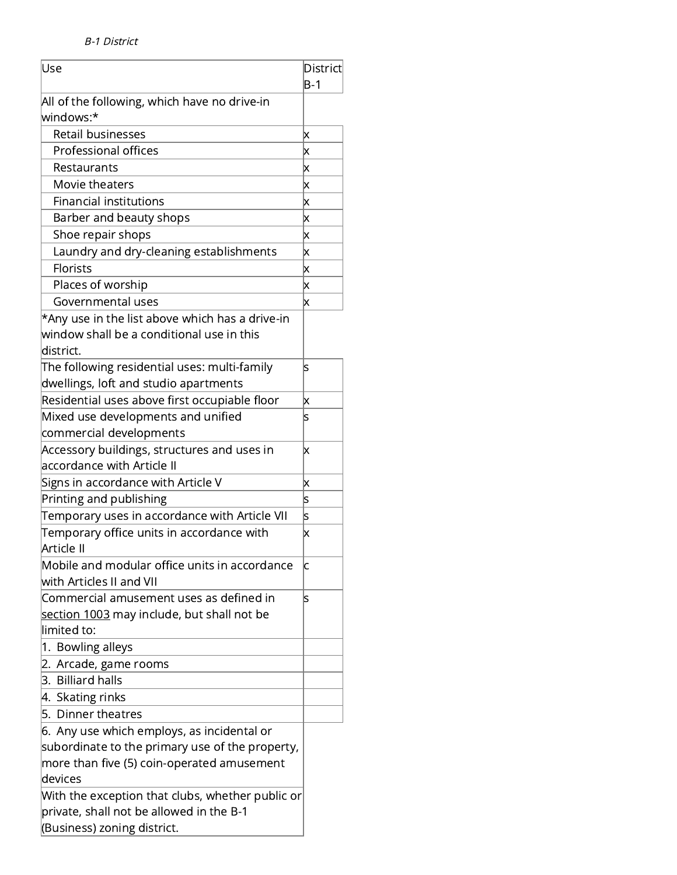| Use                                               | District                  |
|---------------------------------------------------|---------------------------|
|                                                   | $B-1$                     |
| All of the following, which have no drive-in      |                           |
| windows:*                                         |                           |
| <b>Retail businesses</b>                          | Χ                         |
| Professional offices                              | Χ                         |
| Restaurants                                       | $\boldsymbol{\mathsf{x}}$ |
| Movie theaters                                    | Χ                         |
| <b>Financial institutions</b>                     | $\boldsymbol{\mathsf{x}}$ |
| Barber and beauty shops                           | $\boldsymbol{\mathsf{x}}$ |
| Shoe repair shops                                 | $\boldsymbol{\mathsf{x}}$ |
| Laundry and dry-cleaning establishments           | Χ                         |
| Florists                                          | $\boldsymbol{\mathsf{x}}$ |
| Places of worship                                 | $\boldsymbol{\mathsf{x}}$ |
| Governmental uses                                 | X                         |
| *Any use in the list above which has a drive-in   |                           |
| window shall be a conditional use in this         |                           |
| district.                                         |                           |
| The following residential uses: multi-family      | ls                        |
| dwellings, loft and studio apartments             |                           |
| Residential uses above first occupiable floor     | Χ                         |
| Mixed use developments and unified                | S                         |
| commercial developments                           |                           |
| Accessory buildings, structures and uses in       | $\boldsymbol{\mathsf{x}}$ |
| accordance with Article II                        |                           |
| Signs in accordance with Article V                | x                         |
| Printing and publishing                           | s                         |
| Temporary uses in accordance with Article VII     | s                         |
| Temporary office units in accordance with         | $\boldsymbol{\mathsf{x}}$ |
| Article II                                        |                           |
| Mobile and modular office units in accordance     | C                         |
| with Articles II and VII                          |                           |
| Commercial amusement uses as defined in           | s                         |
| <u>section 1003</u> may include, but shall not be |                           |
| limited to:                                       |                           |
| 1. Bowling alleys                                 |                           |
| Arcade, game rooms<br>2.                          |                           |
| 3. Billiard halls                                 |                           |
| 4. Skating rinks                                  |                           |
| 5. Dinner theatres                                |                           |
| 6. Any use which employs, as incidental or        |                           |
| subordinate to the primary use of the property,   |                           |
| more than five (5) coin-operated amusement        |                           |
| devices                                           |                           |
| With the exception that clubs, whether public or  |                           |
| private, shall not be allowed in the B-1          |                           |
| (Business) zoning district.                       |                           |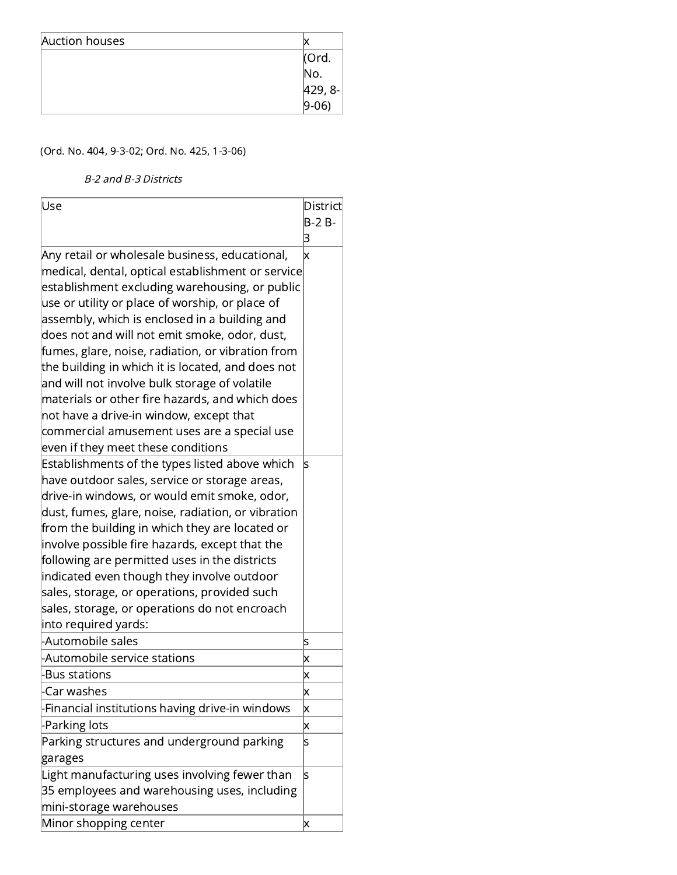| Auction houses |                |
|----------------|----------------|
|                | Ord.           |
|                | No.            |
|                | $ 429, 8-$     |
|                | $ 9-06\rangle$ |

# (Ord. No. 404, 9-3-02; Ord. No. 425, 1-3-06)

B-2 and B-3 Districts

| lUse                                                                                                                                                                                                                                                                                                                                                                                                                                                                                                                              | District                |
|-----------------------------------------------------------------------------------------------------------------------------------------------------------------------------------------------------------------------------------------------------------------------------------------------------------------------------------------------------------------------------------------------------------------------------------------------------------------------------------------------------------------------------------|-------------------------|
|                                                                                                                                                                                                                                                                                                                                                                                                                                                                                                                                   | $B-2B-$                 |
|                                                                                                                                                                                                                                                                                                                                                                                                                                                                                                                                   | 3                       |
| Any retail or wholesale business, educational,<br>medical, dental, optical establishment or service<br>establishment excluding warehousing, or public<br>use or utility or place of worship, or place of<br>assembly, which is enclosed in a building and<br>does not and will not emit smoke, odor, dust,<br>fumes, glare, noise, radiation, or vibration from<br>the building in which it is located, and does not<br>and will not involve bulk storage of volatile<br>materials or other fire hazards, and which does          | x                       |
| not have a drive-in window, except that<br>commercial amusement uses are a special use                                                                                                                                                                                                                                                                                                                                                                                                                                            |                         |
| even if they meet these conditions                                                                                                                                                                                                                                                                                                                                                                                                                                                                                                |                         |
| Establishments of the types listed above which<br>have outdoor sales, service or storage areas,<br>drive-in windows, or would emit smoke, odor,<br>dust, fumes, glare, noise, radiation, or vibration<br>from the building in which they are located or<br>involve possible fire hazards, except that the<br>following are permitted uses in the districts<br>indicated even though they involve outdoor<br>sales, storage, or operations, provided such<br>sales, storage, or operations do not encroach<br>into required yards: | ls                      |
| -Automobile sales                                                                                                                                                                                                                                                                                                                                                                                                                                                                                                                 | S                       |
| -Automobile service stations                                                                                                                                                                                                                                                                                                                                                                                                                                                                                                      | $\mathsf{\overline{x}}$ |
| -Bus stations                                                                                                                                                                                                                                                                                                                                                                                                                                                                                                                     | X                       |
| -Car washes                                                                                                                                                                                                                                                                                                                                                                                                                                                                                                                       | Χ                       |
| Financial institutions having drive-in windows                                                                                                                                                                                                                                                                                                                                                                                                                                                                                    | X                       |
| -Parking lots                                                                                                                                                                                                                                                                                                                                                                                                                                                                                                                     | X                       |
| Parking structures and underground parking<br>garages                                                                                                                                                                                                                                                                                                                                                                                                                                                                             | S                       |
| Light manufacturing uses involving fewer than<br>35 employees and warehousing uses, including<br>mini-storage warehouses                                                                                                                                                                                                                                                                                                                                                                                                          | ls                      |
| Minor shopping center                                                                                                                                                                                                                                                                                                                                                                                                                                                                                                             | Χ                       |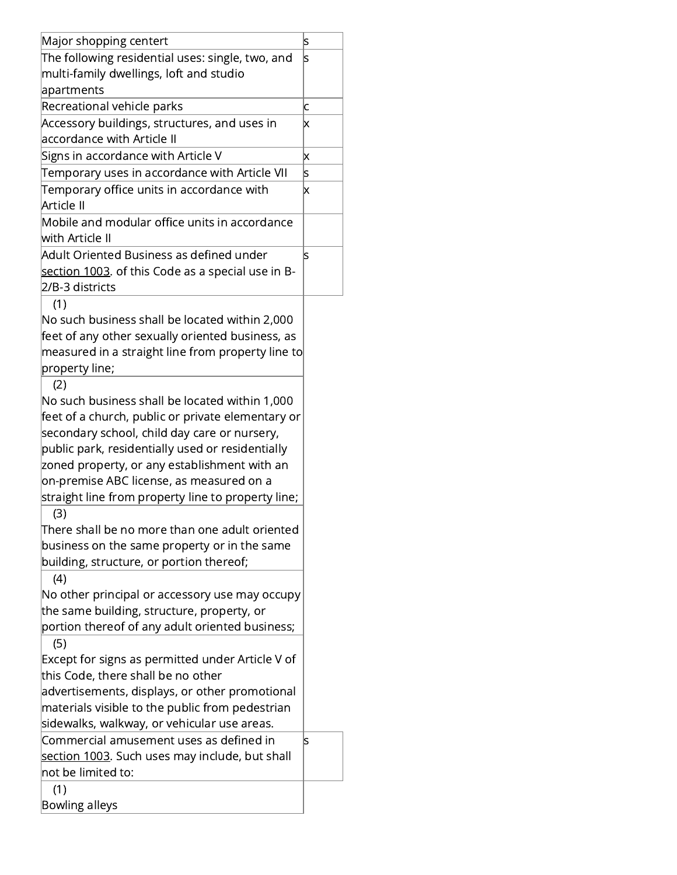| Major shopping centert                             | S                         |
|----------------------------------------------------|---------------------------|
| The following residential uses: single, two, and   | S                         |
| multi-family dwellings, loft and studio            |                           |
| apartments                                         |                           |
| Recreational vehicle parks                         | с                         |
| Accessory buildings, structures, and uses in       | Χ                         |
| accordance with Article II                         |                           |
| Signs in accordance with Article V                 | $\boldsymbol{\mathsf{x}}$ |
| Temporary uses in accordance with Article VII      | s                         |
| Temporary office units in accordance with          | x                         |
| Article II                                         |                           |
| Mobile and modular office units in accordance      |                           |
| with Article II                                    |                           |
| Adult Oriented Business as defined under           | ls                        |
| section 1003. of this Code as a special use in B-  |                           |
| 2/B-3 districts                                    |                           |
| (1)                                                |                           |
| No such business shall be located within 2,000     |                           |
| feet of any other sexually oriented business, as   |                           |
| measured in a straight line from property line to  |                           |
| property line;                                     |                           |
| (2)                                                |                           |
| No such business shall be located within 1,000     |                           |
| feet of a church, public or private elementary or  |                           |
| secondary school, child day care or nursery,       |                           |
| public park, residentially used or residentially   |                           |
| zoned property, or any establishment with an       |                           |
| on-premise ABC license, as measured on a           |                           |
| straight line from property line to property line; |                           |
| (3)                                                |                           |
| There shall be no more than one adult oriented     |                           |
| business on the same property or in the same       |                           |
| building, structure, or portion thereof;           |                           |
| (4)                                                |                           |
| No other principal or accessory use may occupy     |                           |
| the same building, structure, property, or         |                           |
| portion thereof of any adult oriented business;    |                           |
| (5)                                                |                           |
| Except for signs as permitted under Article V of   |                           |
| this Code, there shall be no other                 |                           |
| advertisements, displays, or other promotional     |                           |
| materials visible to the public from pedestrian    |                           |
| sidewalks, walkway, or vehicular use areas.        |                           |
| Commercial amusement uses as defined in            | S                         |
| section 1003. Such uses may include, but shall     |                           |
| not be limited to:                                 |                           |
| (1)                                                |                           |
| <b>Bowling alleys</b>                              |                           |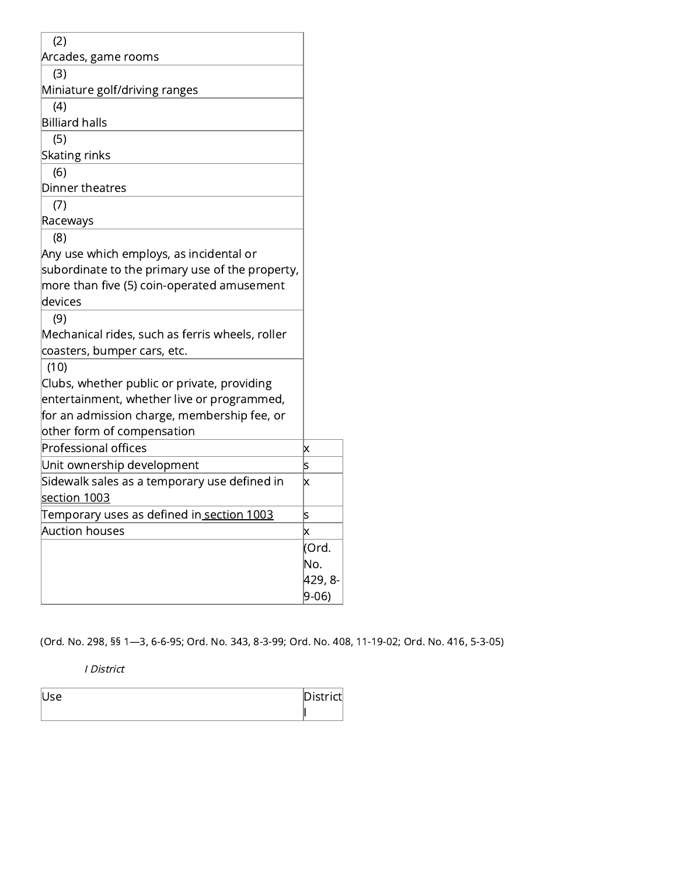| (2)                                             |         |
|-------------------------------------------------|---------|
| Arcades, game rooms                             |         |
| (3)                                             |         |
| Miniature golf/driving ranges                   |         |
| (4)                                             |         |
| <b>Billiard halls</b>                           |         |
| (5)                                             |         |
| <b>Skating rinks</b>                            |         |
| (6)                                             |         |
| Dinner theatres                                 |         |
| (7)                                             |         |
| Raceways                                        |         |
| (8)                                             |         |
| Any use which employs, as incidental or         |         |
| subordinate to the primary use of the property, |         |
| more than five (5) coin-operated amusement      |         |
| devices                                         |         |
| (9)                                             |         |
| Mechanical rides, such as ferris wheels, roller |         |
| coasters, bumper cars, etc.                     |         |
| (10)                                            |         |
| Clubs, whether public or private, providing     |         |
| entertainment, whether live or programmed,      |         |
| for an admission charge, membership fee, or     |         |
| other form of compensation                      |         |
| <b>Professional offices</b>                     | X       |
| Unit ownership development                      | S       |
| Sidewalk sales as a temporary use defined in    | X       |
| <u>section 1003</u>                             |         |
| Temporary uses as defined in section 1003       | S       |
| <b>Auction houses</b>                           | x       |
|                                                 | (Ord.   |
|                                                 | No.     |
|                                                 | 429, 8- |
|                                                 | $9-06$  |

(Ord. No. 298, §§ 1—3, 6-6-95; Ord. No. 343, 8-3-99; Ord. No. 408, 11-19-02; Ord. No. 416, 5-3-05)

I District

| II | Diatui<br>---- |
|----|----------------|
|    |                |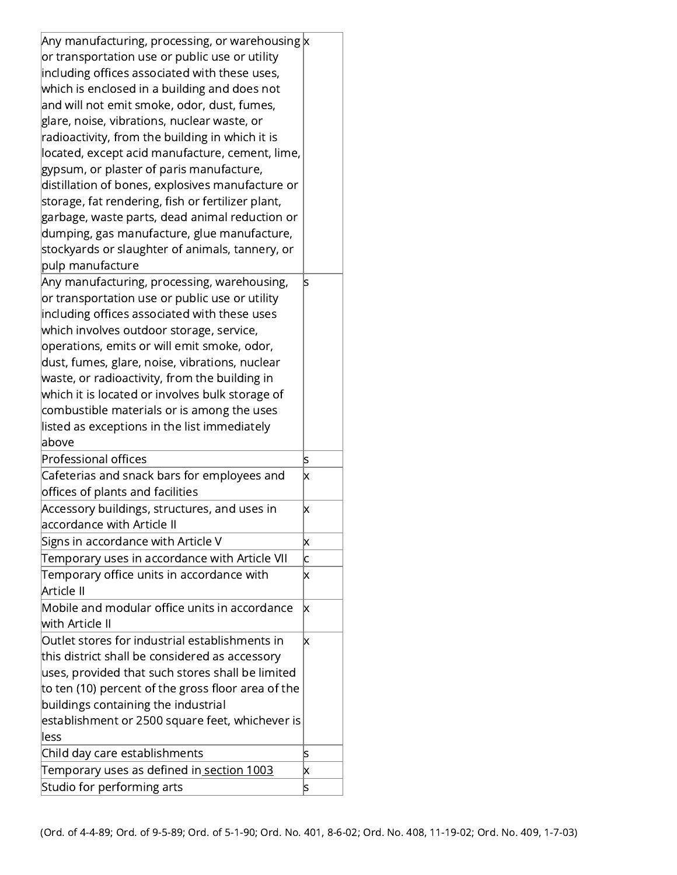| Any manufacturing, processing, or warehousing $x$                       |        |
|-------------------------------------------------------------------------|--------|
| or transportation use or public use or utility                          |        |
| including offices associated with these uses,                           |        |
| which is enclosed in a building and does not                            |        |
| and will not emit smoke, odor, dust, fumes,                             |        |
| glare, noise, vibrations, nuclear waste, or                             |        |
| radioactivity, from the building in which it is                         |        |
| located, except acid manufacture, cement, lime,                         |        |
| gypsum, or plaster of paris manufacture,                                |        |
| distillation of bones, explosives manufacture or                        |        |
| storage, fat rendering, fish or fertilizer plant,                       |        |
| garbage, waste parts, dead animal reduction or                          |        |
| dumping, gas manufacture, glue manufacture,                             |        |
| stockyards or slaughter of animals, tannery, or                         |        |
| pulp manufacture                                                        |        |
| Any manufacturing, processing, warehousing,                             | S      |
| or transportation use or public use or utility                          |        |
| including offices associated with these uses                            |        |
|                                                                         |        |
| which involves outdoor storage, service,                                |        |
| operations, emits or will emit smoke, odor,                             |        |
| dust, fumes, glare, noise, vibrations, nuclear                          |        |
| waste, or radioactivity, from the building in                           |        |
| which it is located or involves bulk storage of                         |        |
| combustible materials or is among the uses                              |        |
| listed as exceptions in the list immediately                            |        |
| above                                                                   |        |
| <b>Professional offices</b>                                             | S      |
| Cafeterias and snack bars for employees and                             | x      |
| offices of plants and facilities                                        |        |
| Accessory buildings, structures, and uses in                            | X      |
| accordance with Article II                                              |        |
| Signs in accordance with Article V                                      | X      |
| Temporary uses in accordance with Article VII                           | C      |
| Temporary office units in accordance with                               | X      |
| Article II                                                              |        |
| Mobile and modular office units in accordance                           | x      |
| with Article II                                                         |        |
| Outlet stores for industrial establishments in                          | X      |
| this district shall be considered as accessory                          |        |
| uses, provided that such stores shall be limited                        |        |
| to ten (10) percent of the gross floor area of the                      |        |
| buildings containing the industrial                                     |        |
| establishment or 2500 square feet, whichever is                         |        |
| less                                                                    |        |
|                                                                         |        |
|                                                                         |        |
| Child day care establishments                                           | S      |
| Temporary uses as defined in section 1003<br>Studio for performing arts | X<br>s |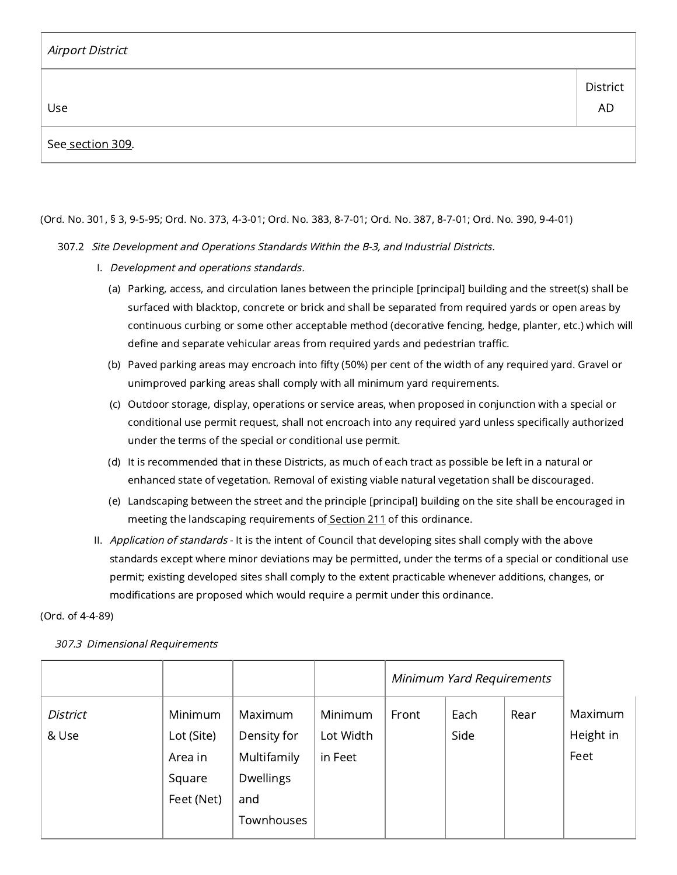| Airport District |                       |
|------------------|-----------------------|
| Use              | District<br><b>AD</b> |
| See section 309. |                       |

## (Ord. No. 301, § 3, 9-5-95; Ord. No. 373, 4-3-01; Ord. No. 383, 8-7-01; Ord. No. 387, 8-7-01; Ord. No. 390, 9-4-01)

## 307.2 Site Development and Operations Standards Within the B-3, and Industrial Districts.

- I. Development and operations standards.
	- (a) Parking, access, and circulation lanes between the principle [principal] building and the street(s) shall be surfaced with blacktop, concrete or brick and shall be separated from required yards or open areas by continuous curbing or some other acceptable method (decorative fencing, hedge, planter, etc.) which will define and separate vehicular areas from required yards and pedestrian traffic.
	- (b) Paved parking areas may encroach into fifty (50%) per cent of the width of any required yard. Gravel or unimproved parking areas shall comply with all minimum yard requirements.
	- (c) Outdoor storage, display, operations or service areas, when proposed in conjunction with a special or conditional use permit request, shall not encroach into any required yard unless specifically authorized under the terms of the special or conditional use permit.
	- (d) It is recommended that in these Districts, as much of each tract as possible be left in a natural or enhanced state of vegetation. Removal of existing viable natural vegetation shall be discouraged.
	- (e) Landscaping between the street and the principle [principal] building on the site shall be encouraged in meeting the landscaping requirements of [Section](https://library.municode.com/) 211 of this ordinance.
- II. *Application of standards* It is the intent of Council that developing sites shall comply with the above standards except where minor deviations may be permitted, under the terms of a special or conditional use permit; existing developed sites shall comply to the extent practicable whenever additions, changes, or modifications are proposed which would require a permit under this ordinance.

### (Ord. of 4-4-89)

|  |  | 307.3 Dimensional Requirements |
|--|--|--------------------------------|
|--|--|--------------------------------|

|                          |                                                          |                                                                         |                                 | Minimum Yard Requirements |              |      |                              |
|--------------------------|----------------------------------------------------------|-------------------------------------------------------------------------|---------------------------------|---------------------------|--------------|------|------------------------------|
| <b>District</b><br>& Use | Minimum<br>Lot (Site)<br>Area in<br>Square<br>Feet (Net) | Maximum<br>Density for<br>Multifamily<br>Dwellings<br>and<br>Townhouses | Minimum<br>Lot Width<br>in Feet | Front                     | Each<br>Side | Rear | Maximum<br>Height in<br>Feet |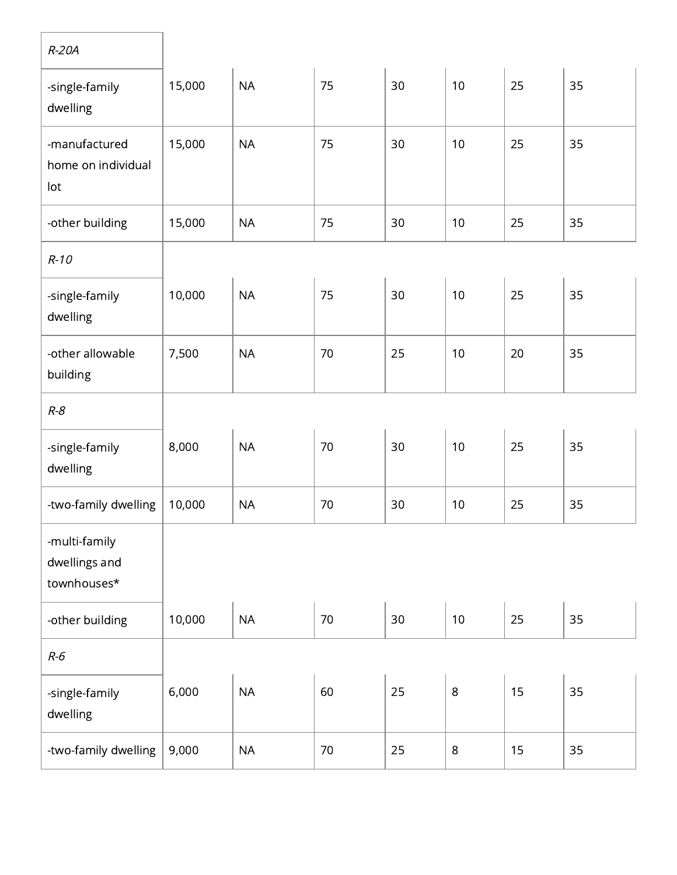| $R-20A$                                       |        |           |        |        |         |    |    |
|-----------------------------------------------|--------|-----------|--------|--------|---------|----|----|
| -single-family<br>dwelling                    | 15,000 | <b>NA</b> | 75     | 30     | 10      | 25 | 35 |
| -manufactured<br>home on individual<br>lot    | 15,000 | <b>NA</b> | 75     | 30     | 10      | 25 | 35 |
| -other building                               | 15,000 | <b>NA</b> | 75     | 30     | 10      | 25 | 35 |
| $R-10$                                        |        |           |        |        |         |    |    |
| -single-family<br>dwelling                    | 10,000 | <b>NA</b> | 75     | 30     | 10      | 25 | 35 |
| -other allowable<br>building                  | 7,500  | <b>NA</b> | 70     | 25     | 10      | 20 | 35 |
| $R - 8$                                       |        |           |        |        |         |    |    |
| -single-family<br>dwelling                    | 8,000  | <b>NA</b> | 70     | 30     | 10      | 25 | 35 |
| -two-family dwelling                          | 10,000 | <b>NA</b> | 70     | 30     | 10      | 25 | 35 |
| -multi-family<br>dwellings and<br>townhouses* |        |           |        |        |         |    |    |
| -other building                               | 10,000 | <b>NA</b> | $70\,$ | $30\,$ | 10      | 25 | 35 |
| $R-6$                                         |        |           |        |        |         |    |    |
| -single-family<br>dwelling                    | 6,000  | <b>NA</b> | 60     | 25     | $\,8\,$ | 15 | 35 |
| -two-family dwelling                          | 9,000  | NA        | 70     | 25     | $\,8\,$ | 15 | 35 |

٦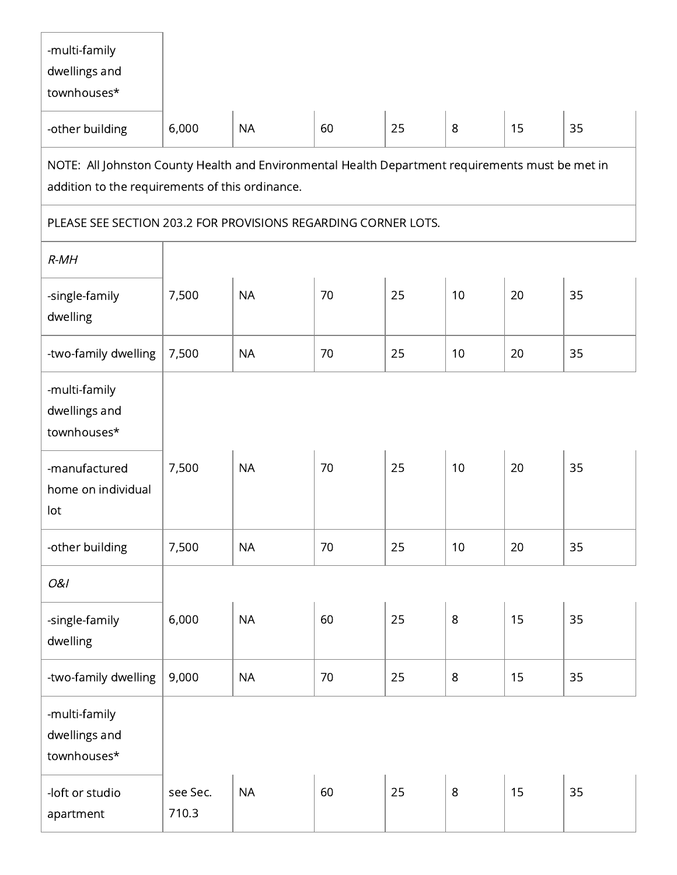| -multi-family<br>dwellings and<br>townhouses*                                                                                                       |                   |           |    |    |                |    |    |  |  |  |
|-----------------------------------------------------------------------------------------------------------------------------------------------------|-------------------|-----------|----|----|----------------|----|----|--|--|--|
| -other building                                                                                                                                     | 6,000             | <b>NA</b> | 60 | 25 | 8              | 15 | 35 |  |  |  |
| NOTE: All Johnston County Health and Environmental Health Department requirements must be met in<br>addition to the requirements of this ordinance. |                   |           |    |    |                |    |    |  |  |  |
| PLEASE SEE SECTION 203.2 FOR PROVISIONS REGARDING CORNER LOTS.                                                                                      |                   |           |    |    |                |    |    |  |  |  |
| $R$ - $MH$                                                                                                                                          |                   |           |    |    |                |    |    |  |  |  |
| -single-family<br>dwelling                                                                                                                          | 7,500             | <b>NA</b> | 70 | 25 | 10             | 20 | 35 |  |  |  |
| -two-family dwelling                                                                                                                                | 7,500             | <b>NA</b> | 70 | 25 | 10             | 20 | 35 |  |  |  |
| -multi-family<br>dwellings and<br>townhouses*                                                                                                       |                   |           |    |    |                |    |    |  |  |  |
| -manufactured<br>home on individual<br>lot                                                                                                          | 7,500             | <b>NA</b> | 70 | 25 | 10             | 20 | 35 |  |  |  |
| -other building                                                                                                                                     | 7,500             | <b>NA</b> | 70 | 25 | 10             | 20 | 35 |  |  |  |
| 0&1                                                                                                                                                 |                   |           |    |    |                |    |    |  |  |  |
| -single-family<br>dwelling                                                                                                                          | 6,000             | <b>NA</b> | 60 | 25 | 8              | 15 | 35 |  |  |  |
| -two-family dwelling                                                                                                                                | 9,000             | <b>NA</b> | 70 | 25 | $\,8\,$        | 15 | 35 |  |  |  |
| -multi-family<br>dwellings and<br>townhouses*                                                                                                       |                   |           |    |    |                |    |    |  |  |  |
| -loft or studio<br>apartment                                                                                                                        | see Sec.<br>710.3 | <b>NA</b> | 60 | 25 | $8\phantom{1}$ | 15 | 35 |  |  |  |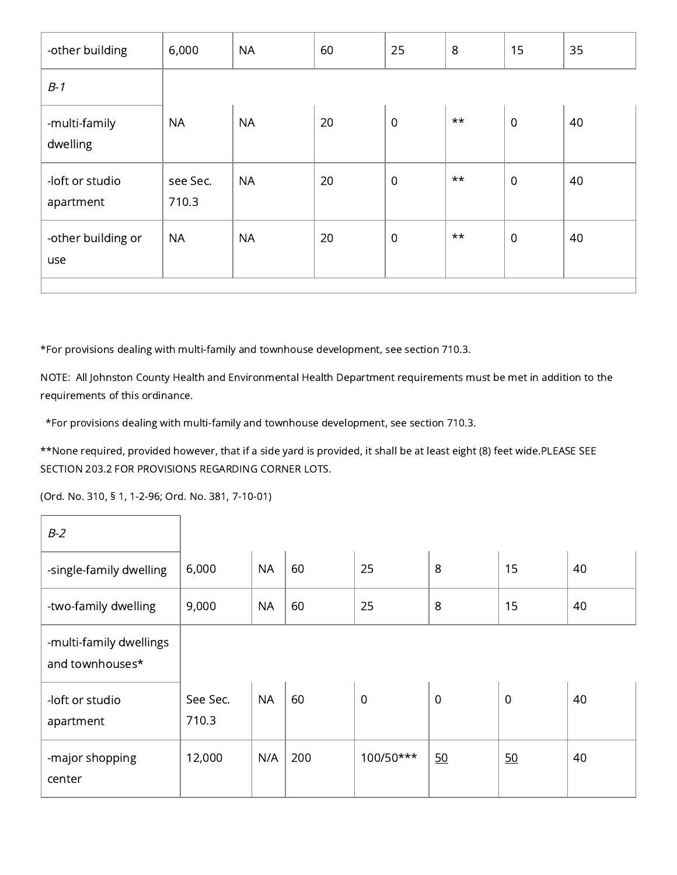| -other building              | 6,000             | <b>NA</b> | 60 | 25               | $8\,$        | 15             | 35 |
|------------------------------|-------------------|-----------|----|------------------|--------------|----------------|----|
| $B-1$                        |                   |           |    |                  |              |                |    |
| -multi-family<br>dwelling    | <b>NA</b>         | <b>NA</b> | 20 | $\overline{0}$   | $\star\star$ | $\overline{0}$ | 40 |
| -loft or studio<br>apartment | see Sec.<br>710.3 | <b>NA</b> | 20 | $\boldsymbol{0}$ | $\star\star$ | $\overline{0}$ | 40 |
| -other building or<br>use    | <b>NA</b>         | <b>NA</b> | 20 | $\mathbf 0$      | $\star\star$ | $\overline{0}$ | 40 |
|                              |                   |           |    |                  |              |                |    |

\*For provisions dealing with multi-family and townhouse development, see section 710.3.

NOTE: All Johnston County Health and Environmental Health Department requirements must be met in addition to the requirements of this ordinance.

\*For provisions dealing with multi-family and townhouse development, see section 710.3.

\*\*None required, provided however, that if a side yard is provided, it shall be at least eight (8) feet wide.PLEASE SEE SECTION 203.2 FOR PROVISIONS REGARDING CORNER LOTS.

(Ord. No. 310, § 1, 1-2-96; Ord. No. 381, 7-10-01)

| $B-2$                                      |                   |           |     |                |                |                |    |
|--------------------------------------------|-------------------|-----------|-----|----------------|----------------|----------------|----|
| -single-family dwelling                    | 6,000             | <b>NA</b> | 60  | 25             | 8              | 15             | 40 |
| -two-family dwelling                       | 9,000             | <b>NA</b> | 60  | 25             | 8              | 15             | 40 |
| -multi-family dwellings<br>and townhouses* |                   |           |     |                |                |                |    |
| -loft or studio<br>apartment               | See Sec.<br>710.3 | <b>NA</b> | 60  | $\overline{0}$ | $\overline{0}$ | $\overline{0}$ | 40 |
| -major shopping<br>center                  | 12,000            | N/A       | 200 | 100/50***      | 50             | 50             | 40 |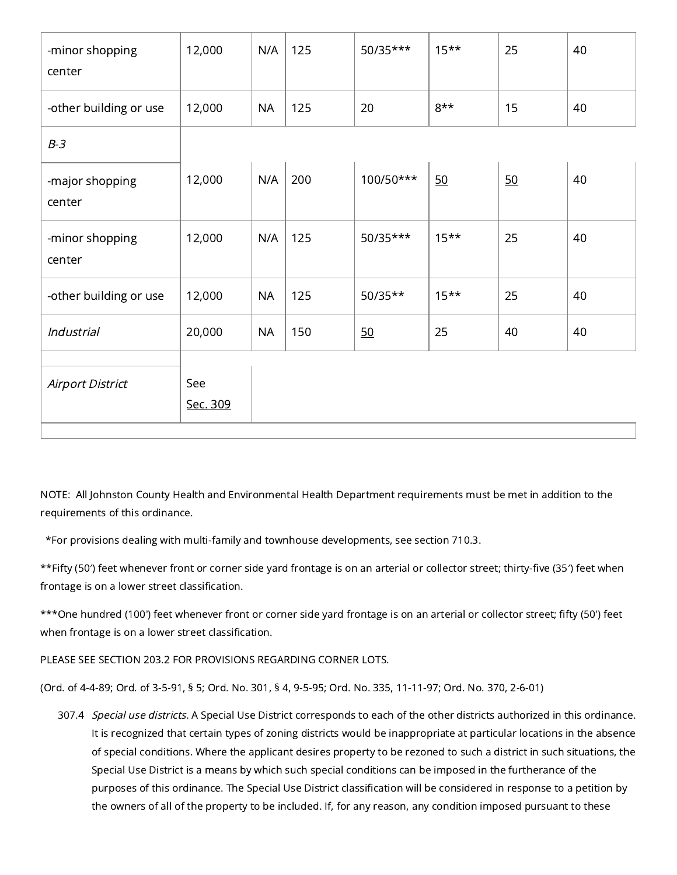| -minor shopping<br>center | 12,000          | N/A       | 125 | 50/35***  | $15***$ | 25 | 40 |
|---------------------------|-----------------|-----------|-----|-----------|---------|----|----|
| -other building or use    | 12,000          | <b>NA</b> | 125 | 20        | $8***$  | 15 | 40 |
| $B-3$                     |                 |           |     |           |         |    |    |
| -major shopping<br>center | 12,000          | N/A       | 200 | 100/50*** | 50      | 50 | 40 |
| -minor shopping<br>center | 12,000          | N/A       | 125 | 50/35***  | $15***$ | 25 | 40 |
| -other building or use    | 12,000          | <b>NA</b> | 125 | $50/35**$ | $15***$ | 25 | 40 |
| Industrial                | 20,000          | <b>NA</b> | 150 | 50        | 25      | 40 | 40 |
| <b>Airport District</b>   | See<br>Sec. 309 |           |     |           |         |    |    |

NOTE: All Johnston County Health and Environmental Health Department requirements must be met in addition to the requirements of this ordinance.

\*For provisions dealing with multi-family and townhouse developments, see section 710.3.

\*\*Fifty (50′) feet whenever front or corner side yard frontage is on an arterial or collector street; thirty-five (35′) feet when frontage is on a lower street classification.

\*\*\*One hundred (100') feet whenever front or corner side yard frontage is on an arterial or collector street; fifty (50') feet when frontage is on a lower street classification.

PLEASE SEE SECTION 203.2 FOR PROVISIONS REGARDING CORNER LOTS.

(Ord. of 4-4-89; Ord. of 3-5-91, § 5; Ord. No. 301, § 4, 9-5-95; Ord. No. 335, 11-11-97; Ord. No. 370, 2-6-01)

307.4 *Special use districts.* A Special Use District corresponds to each of the other districts authorized in this ordinance. It is recognized that certain types of zoning districts would be inappropriate at particular locations in the absence of special conditions. Where the applicant desires property to be rezoned to such a district in such situations, the Special Use District is a means by which such special conditions can be imposed in the furtherance of the purposes of this ordinance. The Special Use District classification will be considered in response to a petition by the owners of all of the property to be included. If, for any reason, any condition imposed pursuant to these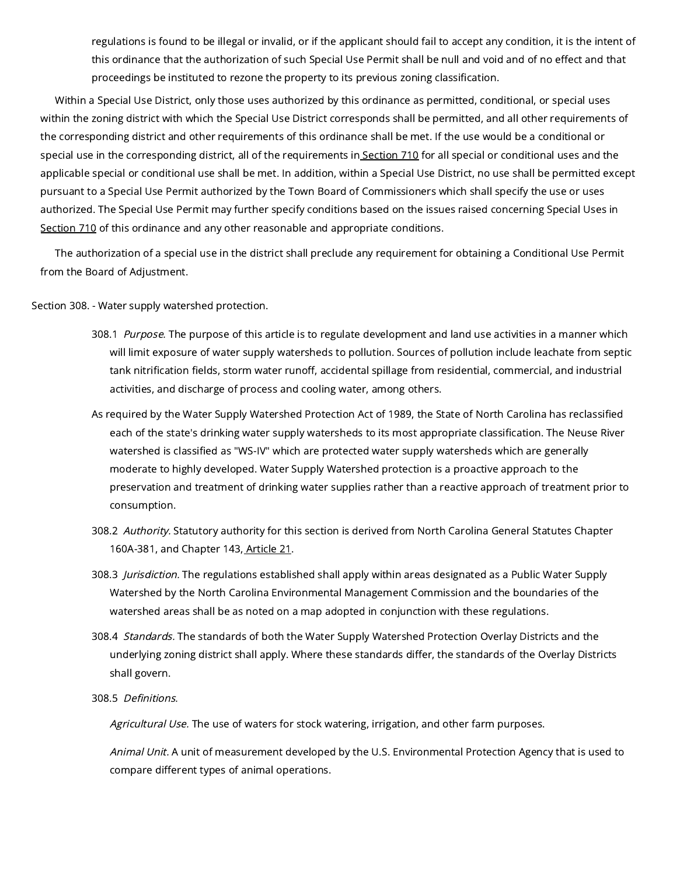regulations is found to be illegal or invalid, or if the applicant should fail to accept any condition, it is the intent of this ordinance that the authorization of such Special Use Permit shall be null and void and of no effect and that proceedings be instituted to rezone the property to its previous zoning classification.

Within a Special Use District, only those uses authorized by this ordinance as permitted, conditional, or special uses within the zoning district with which the Special Use District corresponds shall be permitted, and all other requirements of the corresponding district and other requirements of this ordinance shall be met. If the use would be a conditional or special use in the corresponding district, all of the requirements in [Section](https://library.municode.com/) 710 for all special or conditional uses and the applicable special or conditional use shall be met. In addition, within a Special Use District, no use shall be permitted except pursuant to a Special Use Permit authorized by the Town Board of Commissioners which shall specify the use or uses authorized. The Special Use Permit may further specify conditions based on the issues raised concerning Special Uses in [Section](https://library.municode.com/) 710 of this ordinance and any other reasonable and appropriate conditions.

The authorization of a special use in the district shall preclude any requirement for obtaining a Conditional Use Permit from the Board of Adjustment.

Section 308. - Water supply watershed protection.

- 308.1 Purpose. The purpose of this article is to regulate development and land use activities in a manner which will limit exposure of water supply watersheds to pollution. Sources of pollution include leachate from septic tank nitrification fields, storm water runoff, accidental spillage from residential, commercial, and industrial activities, and discharge of process and cooling water, among others.
- As required by the Water Supply Watershed Protection Act of 1989, the State of North Carolina has reclassified each of the state's drinking water supply watersheds to its most appropriate classification. The Neuse River watershed is classified as "WS-IV" which are protected water supply watersheds which are generally moderate to highly developed. Water Supply Watershed protection is a proactive approach to the preservation and treatment of drinking water supplies rather than a reactive approach of treatment prior to consumption.
- 308.2 Authority. Statutory authority for this section is derived from North Carolina General Statutes Chapter 160A-381, and Chapter 143, [Article](https://library.municode.com/) 21.
- 308.3 Jurisdiction. The regulations established shall apply within areas designated as a Public Water Supply Watershed by the North Carolina Environmental Management Commission and the boundaries of the watershed areas shall be as noted on a map adopted in conjunction with these regulations.
- 308.4 Standards. The standards of both the Water Supply Watershed Protection Overlay Districts and the underlying zoning district shall apply. Where these standards differ, the standards of the Overlay Districts shall govern.
- 308.5 Definitions.

Agricultural Use. The use of waters for stock watering, irrigation, and other farm purposes.

Animal Unit. A unit of measurement developed by the U.S. Environmental Protection Agency that is used to compare different types of animal operations.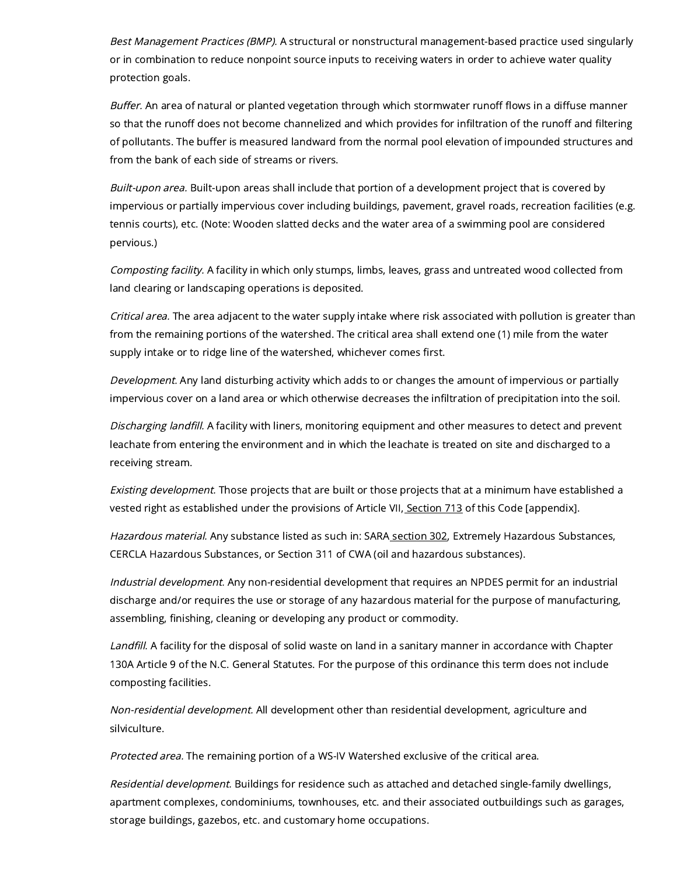Best Management Practices (BMP). A structural or nonstructural management-based practice used singularly or in combination to reduce nonpoint source inputs to receiving waters in order to achieve water quality protection goals.

Buffer. An area of natural or planted vegetation through which stormwater runoff flows in a diffuse manner so that the runoff does not become channelized and which provides for infiltration of the runoff and filtering of pollutants. The buffer is measured landward from the normal pool elevation of impounded structures and from the bank of each side of streams or rivers.

Built-upon area. Built-upon areas shall include that portion of a development project that is covered by impervious or partially impervious cover including buildings, pavement, gravel roads, recreation facilities (e.g. tennis courts), etc. (Note: Wooden slatted decks and the water area of a swimming pool are considered pervious.)

Composting facility. A facility in which only stumps, limbs, leaves, grass and untreated wood collected from land clearing or landscaping operations is deposited.

Critical area. The area adjacent to the water supply intake where risk associated with pollution is greater than from the remaining portions of the watershed. The critical area shall extend one (1) mile from the water supply intake or to ridge line of the watershed, whichever comes first.

Development. Any land disturbing activity which adds to or changes the amount of impervious or partially impervious cover on a land area or which otherwise decreases the infiltration of precipitation into the soil.

Discharging landfill. A facility with liners, monitoring equipment and other measures to detect and prevent leachate from entering the environment and in which the leachate is treated on site and discharged to a receiving stream.

Existing development. Those projects that are built or those projects that at a minimum have established a vested right as established under the provisions of Article VII, [Section](https://library.municode.com/) 713 of this Code [appendix].

Hazardous material. Any substance listed as such in: SARA [section](https://library.municode.com/) 302, Extremely Hazardous Substances, CERCLA Hazardous Substances, or Section 311 of CWA (oil and hazardous substances).

Industrial development. Any non-residential development that requires an NPDES permit for an industrial discharge and/or requires the use or storage of any hazardous material for the purpose of manufacturing, assembling, finishing, cleaning or developing any product or commodity.

Landfill. A facility for the disposal of solid waste on land in a sanitary manner in accordance with Chapter 130A Article 9 of the N.C. General Statutes. For the purpose of this ordinance this term does not include composting facilities.

Non-residential development. All development other than residential development, agriculture and silviculture.

Protected area. The remaining portion of a WS-IV Watershed exclusive of the critical area.

Residential development. Buildings for residence such as attached and detached single-family dwellings, apartment complexes, condominiums, townhouses, etc. and their associated outbuildings such as garages, storage buildings, gazebos, etc. and customary home occupations.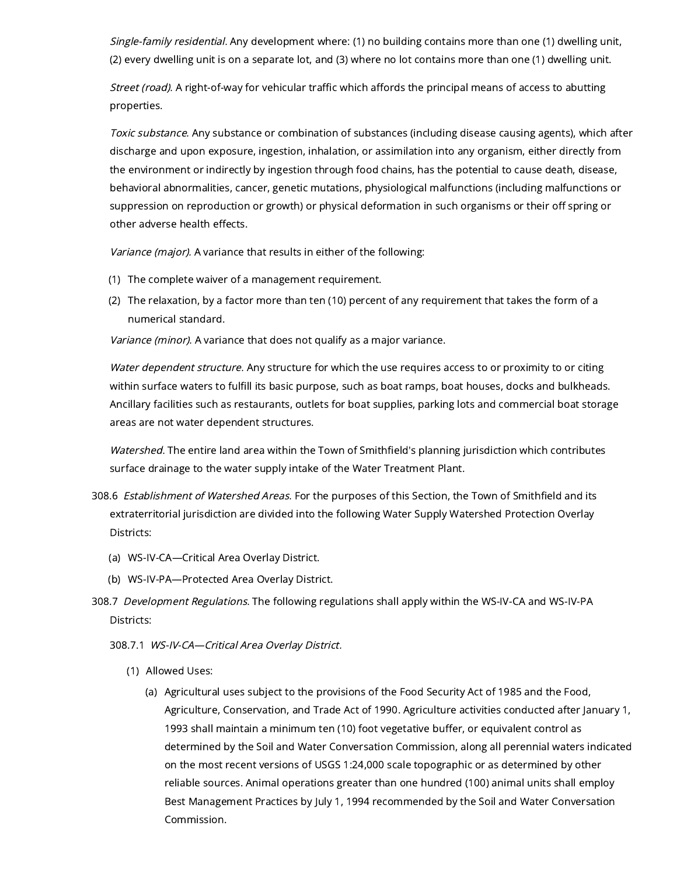Single-family residential. Any development where: (1) no building contains more than one (1) dwelling unit, (2) every dwelling unit is on a separate lot, and (3) where no lot contains more than one (1) dwelling unit.

Street (road). A right-of-way for vehicular traffic which affords the principal means of access to abutting properties.

Toxic substance. Any substance or combination of substances (including disease causing agents), which after discharge and upon exposure, ingestion, inhalation, or assimilation into any organism, either directly from the environment or indirectly by ingestion through food chains, has the potential to cause death, disease, behavioral abnormalities, cancer, genetic mutations, physiological malfunctions (including malfunctions or suppression on reproduction or growth) or physical deformation in such organisms or their off spring or other adverse health effects.

Variance (major). A variance that results in either of the following:

- (1) The complete waiver of a management requirement.
- (2) The relaxation, by a factor more than ten (10) percent of any requirement that takes the form of a numerical standard.

Variance (minor). A variance that does not qualify as a major variance.

Water dependent structure. Any structure for which the use requires access to or proximity to or citing within surface waters to fulfill its basic purpose, such as boat ramps, boat houses, docks and bulkheads. Ancillary facilities such as restaurants, outlets for boat supplies, parking lots and commercial boat storage areas are not water dependent structures.

Watershed. The entire land area within the Town of Smithfield's planning jurisdiction which contributes surface drainage to the water supply intake of the Water Treatment Plant.

- 308.6 Establishment of Watershed Areas. For the purposes of this Section, the Town of Smithfield and its extraterritorial jurisdiction are divided into the following Water Supply Watershed Protection Overlay Districts:
	- (a) WS-IV-CA—Critical Area Overlay District.
	- (b) WS-IV-PA—Protected Area Overlay District.
- 308.7 Development Regulations. The following regulations shall apply within the WS-IV-CA and WS-IV-PA Districts:

308.7.1 WS-IV-CA—Critical Area Overlay District.

- (1) Allowed Uses:
	- (a) Agricultural uses subject to the provisions of the Food Security Act of 1985 and the Food, Agriculture, Conservation, and Trade Act of 1990. Agriculture activities conducted after January 1, 1993 shall maintain a minimum ten (10) foot vegetative buffer, or equivalent control as determined by the Soil and Water Conversation Commission, along all perennial waters indicated on the most recent versions of USGS 1:24,000 scale topographic or as determined by other reliable sources. Animal operations greater than one hundred (100) animal units shall employ Best Management Practices by July 1, 1994 recommended by the Soil and Water Conversation Commission.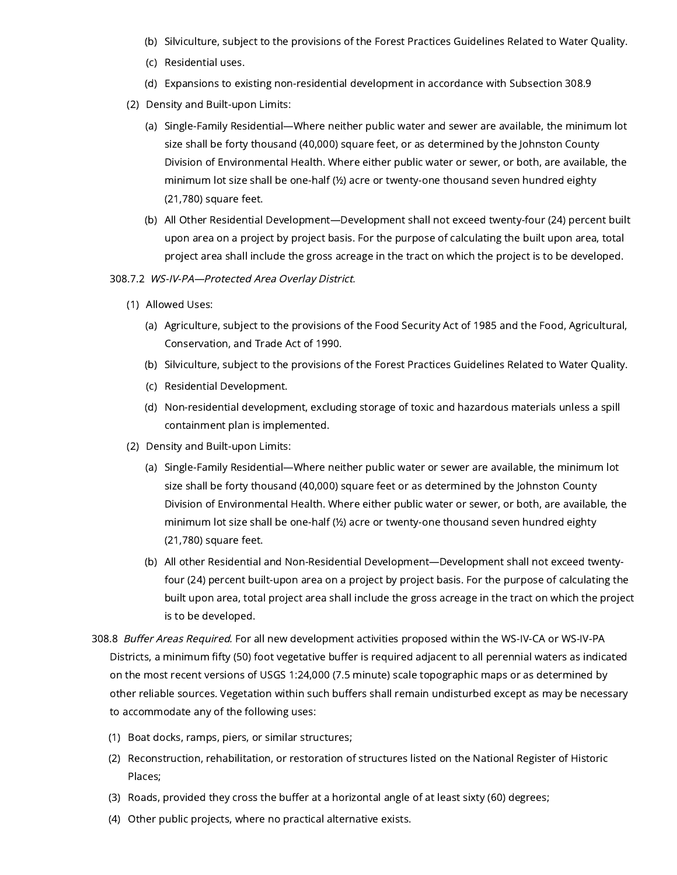- (b) Silviculture, subject to the provisions of the Forest Practices Guidelines Related to Water Quality.
- (c) Residential uses.
- (d) Expansions to existing non-residential development in accordance with Subsection 308.9
- (2) Density and Built-upon Limits:
	- (a) Single-Family Residential—Where neither public water and sewer are available, the minimum lot size shall be forty thousand (40,000) square feet, or as determined by the Johnston County Division of Environmental Health. Where either public water or sewer, or both, are available, the minimum lot size shall be one-half (½) acre or twenty-one thousand seven hundred eighty (21,780) square feet.
	- (b) All Other Residential Development—Development shall not exceed twenty-four (24) percent built upon area on a project by project basis. For the purpose of calculating the built upon area, total project area shall include the gross acreage in the tract on which the project is to be developed.
- 308.7.2 WS-IV-PA—Protected Area Overlay District.
	- (1) Allowed Uses:
		- (a) Agriculture, subject to the provisions of the Food Security Act of 1985 and the Food, Agricultural, Conservation, and Trade Act of 1990.
		- (b) Silviculture, subject to the provisions of the Forest Practices Guidelines Related to Water Quality.
		- (c) Residential Development.
		- (d) Non-residential development, excluding storage of toxic and hazardous materials unless a spill containment plan is implemented.
	- (2) Density and Built-upon Limits:
		- (a) Single-Family Residential—Where neither public water or sewer are available, the minimum lot size shall be forty thousand (40,000) square feet or as determined by the Johnston County Division of Environmental Health. Where either public water or sewer, or both, are available, the minimum lot size shall be one-half (½) acre or twenty-one thousand seven hundred eighty (21,780) square feet.
		- (b) All other Residential and Non-Residential Development—Development shall not exceed twentyfour (24) percent built-upon area on a project by project basis. For the purpose of calculating the built upon area, total project area shall include the gross acreage in the tract on which the project is to be developed.
- 308.8 Buffer Areas Required. For all new development activities proposed within the WS-IV-CA or WS-IV-PA Districts, a minimum fifty (50) foot vegetative buffer is required adjacent to all perennial waters as indicated on the most recent versions of USGS 1:24,000 (7.5 minute) scale topographic maps or as determined by other reliable sources. Vegetation within such buffers shall remain undisturbed except as may be necessary to accommodate any of the following uses:
	- (1) Boat docks, ramps, piers, or similar structures;
	- (2) Reconstruction, rehabilitation, or restoration of structures listed on the National Register of Historic Places;
	- (3) Roads, provided they cross the buffer at a horizontal angle of at least sixty (60) degrees;
	- (4) Other public projects, where no practical alternative exists.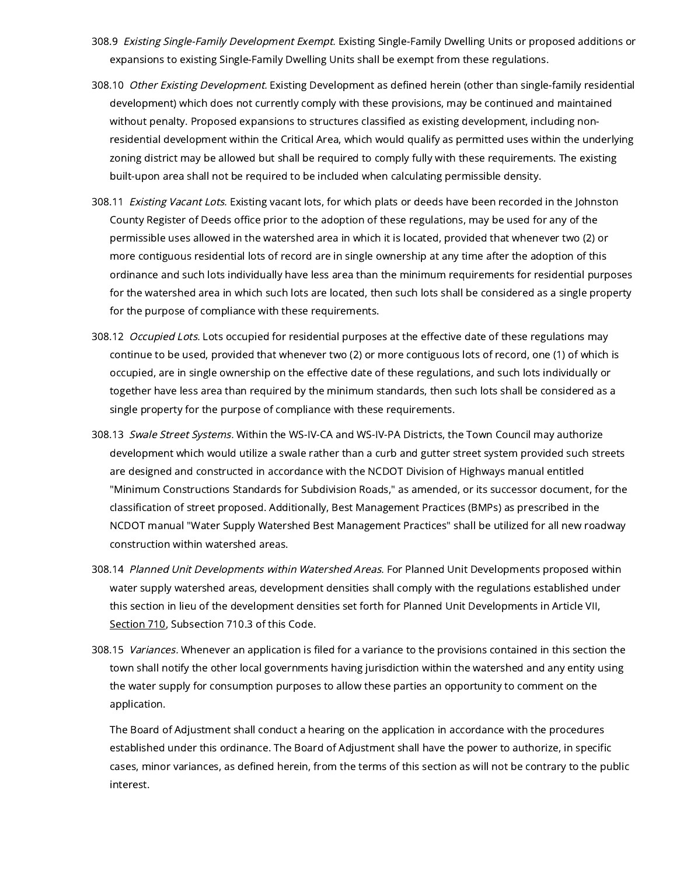- 308.9 Existing Single-Family Development Exempt. Existing Single-Family Dwelling Units or proposed additions or expansions to existing Single-Family Dwelling Units shall be exempt from these regulations.
- 308.10 Other Existing Development. Existing Development as defined herein (other than single-family residential development) which does not currently comply with these provisions, may be continued and maintained without penalty. Proposed expansions to structures classified as existing development, including nonresidential development within the Critical Area, which would qualify as permitted uses within the underlying zoning district may be allowed but shall be required to comply fully with these requirements. The existing built-upon area shall not be required to be included when calculating permissible density.
- 308.11 Existing Vacant Lots. Existing vacant lots, for which plats or deeds have been recorded in the Johnston County Register of Deeds office prior to the adoption of these regulations, may be used for any of the permissible uses allowed in the watershed area in which it is located, provided that whenever two (2) or more contiguous residential lots of record are in single ownership at any time after the adoption of this ordinance and such lots individually have less area than the minimum requirements for residential purposes for the watershed area in which such lots are located, then such lots shall be considered as a single property for the purpose of compliance with these requirements.
- 308.12 Occupied Lots. Lots occupied for residential purposes at the effective date of these regulations may continue to be used, provided that whenever two (2) or more contiguous lots of record, one (1) of which is occupied, are in single ownership on the effective date of these regulations, and such lots individually or together have less area than required by the minimum standards, then such lots shall be considered as a single property for the purpose of compliance with these requirements.
- 308.13 Swale Street Systems. Within the WS-IV-CA and WS-IV-PA Districts, the Town Council may authorize development which would utilize a swale rather than a curb and gutter street system provided such streets are designed and constructed in accordance with the NCDOT Division of Highways manual entitled "Minimum Constructions Standards for Subdivision Roads," as amended, or its successor document, for the classification of street proposed. Additionally, Best Management Practices (BMPs) as prescribed in the NCDOT manual "Water Supply Watershed Best Management Practices" shall be utilized for all new roadway construction within watershed areas.
- 308.14 Planned Unit Developments within Watershed Areas. For Planned Unit Developments proposed within water supply watershed areas, development densities shall comply with the regulations established under this section in lieu of the development densities set forth for Planned Unit Developments in Article VII, [Section](https://library.municode.com/) 710, Subsection 710.3 of this Code.
- 308.15 Variances. Whenever an application is filed for a variance to the provisions contained in this section the town shall notify the other local governments having jurisdiction within the watershed and any entity using the water supply for consumption purposes to allow these parties an opportunity to comment on the application.

The Board of Adjustment shall conduct a hearing on the application in accordance with the procedures established under this ordinance. The Board of Adjustment shall have the power to authorize, in specific cases, minor variances, as defined herein, from the terms of this section as will not be contrary to the public interest.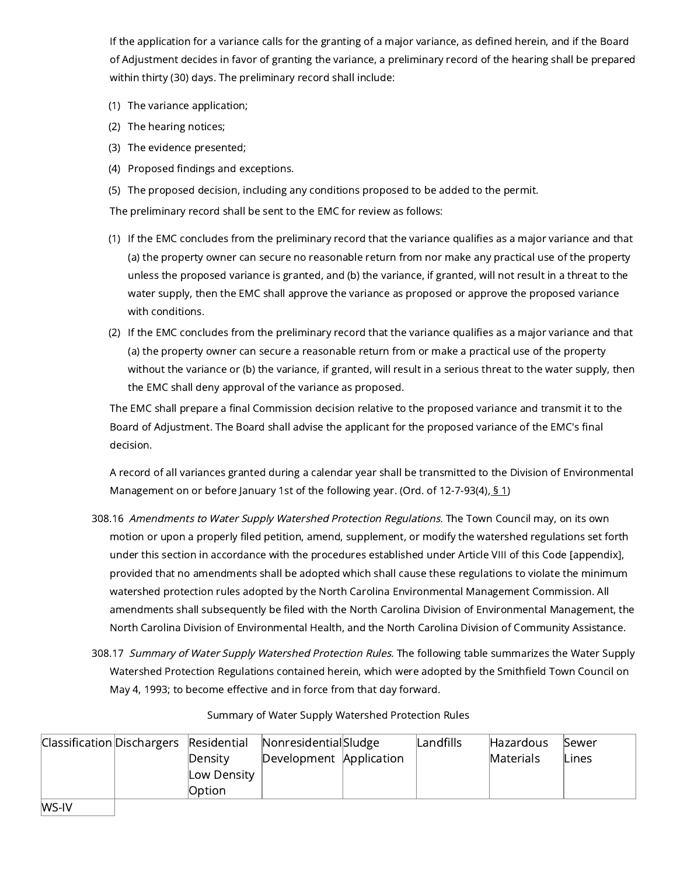If the application for a variance calls for the granting of a major variance, as defined herein, and if the Board of Adjustment decides in favor of granting the variance, a preliminary record of the hearing shall be prepared within thirty (30) days. The preliminary record shall include:

- (1) The variance application;
- (2) The hearing notices;
- (3) The evidence presented;
- (4) Proposed findings and exceptions.
- (5) The proposed decision, including any conditions proposed to be added to the permit.

The preliminary record shall be sent to the EMC for review as follows:

- (1) If the EMC concludes from the preliminary record that the variance qualifies as a major variance and that (a) the property owner can secure no reasonable return from nor make any practical use of the property unless the proposed variance is granted, and (b) the variance, if granted, will not result in a threat to the water supply, then the EMC shall approve the variance as proposed or approve the proposed variance with conditions.
- (2) If the EMC concludes from the preliminary record that the variance qualifies as a major variance and that (a) the property owner can secure a reasonable return from or make a practical use of the property without the variance or (b) the variance, if granted, will result in a serious threat to the water supply, then the EMC shall deny approval of the variance as proposed.

The EMC shall prepare a final Commission decision relative to the proposed variance and transmit it to the Board of Adjustment. The Board shall advise the applicant for the proposed variance of the EMC's final decision.

A record of all variances granted during a calendar year shall be transmitted to the Division of Environmental Management on or before January [1](https://library.municode.com/)st of the following year. (Ord. of 12-7-93(4),  $\underline{51}$ 

- 308.16 Amendments to Water Supply Watershed Protection Regulations. The Town Council may, on its own motion or upon a properly filed petition, amend, supplement, or modify the watershed regulations set forth under this section in accordance with the procedures established under Article VIII of this Code [appendix], provided that no amendments shall be adopted which shall cause these regulations to violate the minimum watershed protection rules adopted by the North Carolina Environmental Management Commission. All amendments shall subsequently be filed with the North Carolina Division of Environmental Management, the North Carolina Division of Environmental Health, and the North Carolina Division of Community Assistance.
- 308.17 Summary of Water Supply Watershed Protection Rules. The following table summarizes the Water Supply Watershed Protection Regulations contained herein, which were adopted by the Smithfield Town Council on May 4, 1993; to become effective and in force from that day forward.

| Summary of Water Supply Watershed Protection Rules |
|----------------------------------------------------|
|----------------------------------------------------|

|   |             | Classification Dischargers Residential NonresidentialSludge | Landfills | Hazardous | Sewer |
|---|-------------|-------------------------------------------------------------|-----------|-----------|-------|
|   | Density     | Development Application                                     |           | Materials | Lines |
|   | Low Density |                                                             |           |           |       |
|   | Option      |                                                             |           |           |       |
| . |             |                                                             |           |           |       |

WS-IV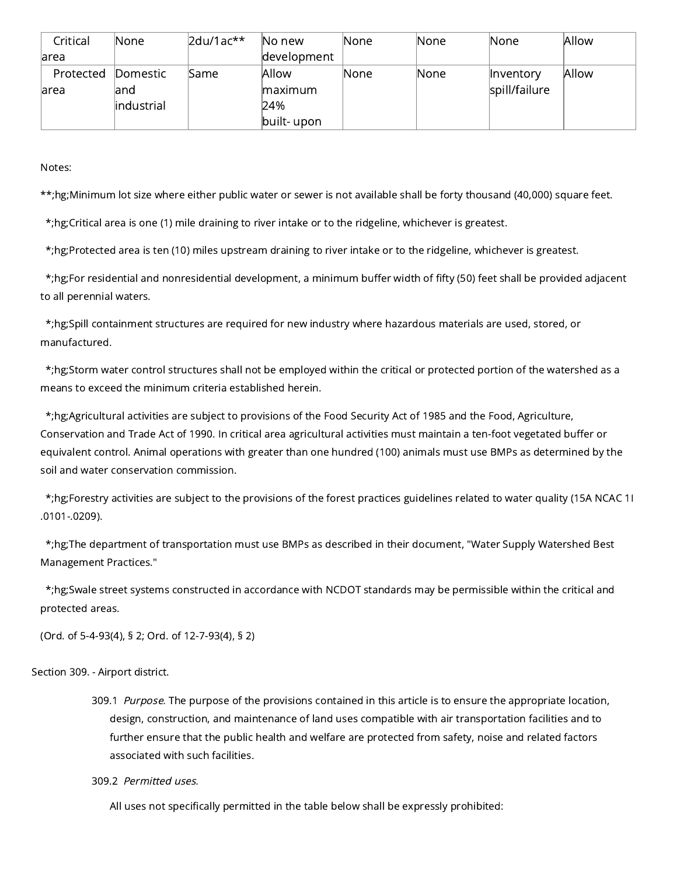| Critical  | None.       | $2du/1ac**$ | No new      | None | lNone.      | lNone.        | Allow |
|-----------|-------------|-------------|-------------|------|-------------|---------------|-------|
| larea     |             |             | development |      |             |               |       |
| Protected | Domestic    | Same        | Allow       | None | <b>None</b> | Inventory     | Allow |
| larea     | land        |             | maximum     |      |             | spill/failure |       |
|           | lindustrial |             | 24%         |      |             |               |       |
|           |             |             | built- upon |      |             |               |       |

Notes:

\*\*;hg;Minimum lot size where either public water or sewer is not available shall be forty thousand (40,000) square feet.

\*;hg;Critical area is one (1) mile draining to river intake or to the ridgeline, whichever is greatest.

\*;hg;Protected area is ten (10) miles upstream draining to river intake or to the ridgeline, whichever is greatest.

\*;hg;For residential and nonresidential development, a minimum buffer width of fifty (50) feet shall be provided adjacent to all perennial waters.

\*;hg;Spill containment structures are required for new industry where hazardous materials are used, stored, or manufactured.

\*;hg;Storm water control structures shall not be employed within the critical or protected portion of the watershed as a means to exceed the minimum criteria established herein.

\*;hg;Agricultural activities are subject to provisions of the Food Security Act of 1985 and the Food, Agriculture, Conservation and Trade Act of 1990. In critical area agricultural activities must maintain a ten-foot vegetated buffer or equivalent control. Animal operations with greater than one hundred (100) animals must use BMPs as determined by the soil and water conservation commission.

\*;hg;Forestry activities are subject to the provisions of the forest practices guidelines related to water quality (15A NCAC 1I .0101-.0209).

\*;hg;The department of transportation must use BMPs as described in their document, "Water Supply Watershed Best Management Practices."

\*;hg;Swale street systems constructed in accordance with NCDOT standards may be permissible within the critical and protected areas.

(Ord. of 5-4-93(4), § 2; Ord. of 12-7-93(4), § 2)

# Section 309. - Airport district.

309.1 Purpose. The purpose of the provisions contained in this article is to ensure the appropriate location, design, construction, and maintenance of land uses compatible with air transportation facilities and to further ensure that the public health and welfare are protected from safety, noise and related factors associated with such facilities.

# 309.2 Permitted uses.

All uses not specifically permitted in the table below shall be expressly prohibited: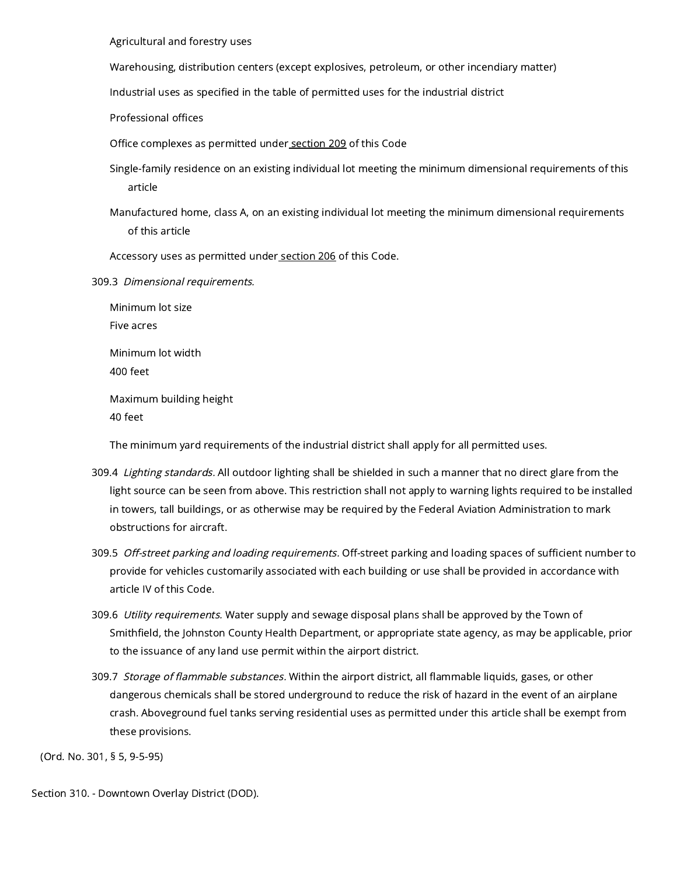Agricultural and forestry uses

Warehousing, distribution centers (except explosives, petroleum, or other incendiary matter)

Industrial uses as specified in the table of permitted uses for the industrial district

Professional offices

Office complexes as permitted under [section](https://library.municode.com/) 209 of this Code

Single-family residence on an existing individual lot meeting the minimum dimensional requirements of this article

Manufactured home, class A, on an existing individual lot meeting the minimum dimensional requirements of this article

Accessory uses as permitted under [section](https://library.municode.com/) 206 of this Code.

309.3 Dimensional requirements.

Minimum lot size Five acres Minimum lot width 400 feet Maximum building height 40 feet

The minimum yard requirements of the industrial district shall apply for all permitted uses.

- 309.4 Lighting standards. All outdoor lighting shall be shielded in such a manner that no direct glare from the light source can be seen from above. This restriction shall not apply to warning lights required to be installed in towers, tall buildings, or as otherwise may be required by the Federal Aviation Administration to mark obstructions for aircraft.
- 309.5 Off-street parking and loading requirements. Off-street parking and loading spaces of sufficient number to provide for vehicles customarily associated with each building or use shall be provided in accordance with article IV of this Code.
- 309.6 *Utility requirements.* Water supply and sewage disposal plans shall be approved by the Town of Smithfield, the Johnston County Health Department, or appropriate state agency, as may be applicable, prior to the issuance of any land use permit within the airport district.
- 309.7 Storage of flammable substances. Within the airport district, all flammable liquids, gases, or other dangerous chemicals shall be stored underground to reduce the risk of hazard in the event of an airplane crash. Aboveground fuel tanks serving residential uses as permitted under this article shall be exempt from these provisions.

(Ord. No. 301, § 5, 9-5-95)

Section 310. - Downtown Overlay District (DOD).